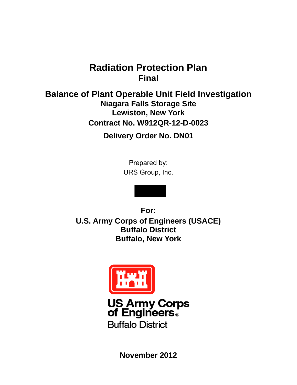# **Radiation Protection Plan Final**

**Balance of Plant Operable Unit Field Investigation Niagara Falls Storage Site Lewiston, New York Contract No. W912QR-12-D-0023** 

**Delivery Order No. DN01** 

Prepared by: URS Group, Inc.

**For: U.S. Army Corps of Engineers (USACE) Buffalo District Buffalo, New York** 



**US Army Corps<br>of Engineers Buffalo District** 

**November 2012**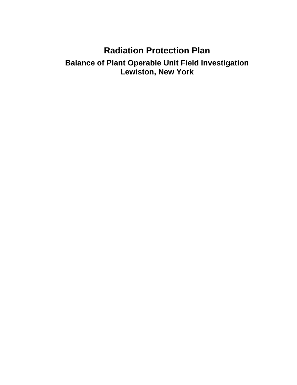# **Radiation Protection Plan**

## **Balance of Plant Operable Unit Field Investigation Lewiston, New York**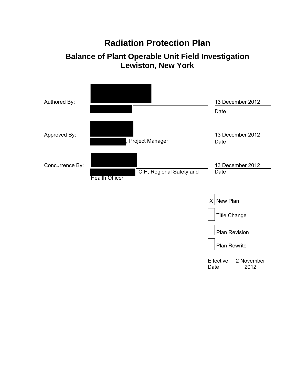# **Radiation Protection Plan**

# **Balance of Plant Operable Unit Field Investigation Lewiston, New York**

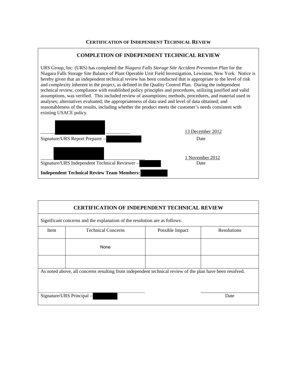#### **CERTIFICATION OF INDEPENDENT TECHNICAL REVIEW**

#### **COMPLETION OF INDEPENDENT TECHNICAL REVIEW**

URS Group, Inc. (URS) has completed the *Niagara Falls Storage Site Accident Prevention Plan* for the Niagara Falls Storage Site Balance of Plant Operable Unit Field Investigation, Lewiston, New York. Notice is hereby given that an independent technical review has been conducted that is appropriate to the level of risk and complexity inherent in the project, as defined in the Quality Control Plan. During the independent technical review, compliance with established policy principles and procedures, utilizing justified and valid assumptions, was verified. This included review of assumptions; methods, procedures, and material used in analyses; alternatives evaluated; the appropriateness of data used and level of data obtained; and reasonableness of the results, including whether the product meets the customer's needs consistent with existing USACE policy.

| Signature/URS Report Preparer -                   | 13 December 2012<br>Date |
|---------------------------------------------------|--------------------------|
| Signature/URS Independent Technical Reviewer-     | 1 November 2012          |
| <b>Independent Technical Review Team Members:</b> | Date                     |

| <b>CERTIFICATION OF INDEPENDENT TECHNICAL REVIEW</b> |                                                                                                          |                 |                    |  |
|------------------------------------------------------|----------------------------------------------------------------------------------------------------------|-----------------|--------------------|--|
|                                                      | Significant concerns and the explanation of the resolution are as follows:                               |                 |                    |  |
| Item                                                 | <b>Technical Concerns</b>                                                                                | Possible Impact | <b>Resolutions</b> |  |
|                                                      | None                                                                                                     |                 |                    |  |
|                                                      |                                                                                                          |                 |                    |  |
|                                                      | As noted above, all concerns resulting from independent technical review of the plan have been resolved. |                 |                    |  |
|                                                      | Signature/URS Principal -                                                                                |                 | Date               |  |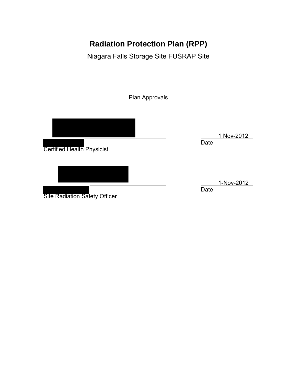# **Radiation Protection Plan (RPP)**

Niagara Falls Storage Site FUSRAP Site

Plan Approvals

Certified Health Physicist

Site Radiation Safety Officer

 1 Nov-2012 **Date** 

1-Nov-2012

Date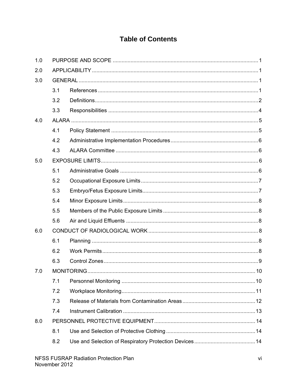## **Table of Contents**

| 1.0 |     |  |
|-----|-----|--|
| 2.0 |     |  |
| 3.0 |     |  |
|     | 3.1 |  |
|     | 3.2 |  |
|     | 3.3 |  |
| 4.0 |     |  |
|     | 4.1 |  |
|     | 4.2 |  |
|     | 4.3 |  |
| 5.0 |     |  |
|     | 5.1 |  |
|     | 5.2 |  |
|     | 5.3 |  |
|     | 5.4 |  |
|     | 5.5 |  |
|     | 5.6 |  |
| 6.0 |     |  |
|     | 6.1 |  |
|     | 6.2 |  |
|     | 6.3 |  |
| 7.0 |     |  |
|     | 7.1 |  |
|     | 7.2 |  |
|     | 7.3 |  |
|     | 7.4 |  |
| 8.0 |     |  |
|     | 8.1 |  |
|     | 8.2 |  |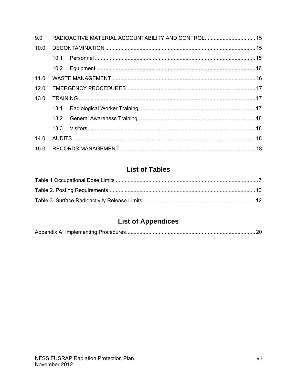| 9.0  |      | RADIOACTIVE MATERIAL ACCOUNTABILITY AND CONTROL 15 |  |
|------|------|----------------------------------------------------|--|
| 10.0 |      |                                                    |  |
|      | 10.1 |                                                    |  |
|      | 10.2 |                                                    |  |
| 11.0 |      |                                                    |  |
| 12.0 |      |                                                    |  |
| 13.0 |      |                                                    |  |
|      | 13.1 |                                                    |  |
|      |      |                                                    |  |
|      | 13.3 |                                                    |  |
| 14.0 |      |                                                    |  |
|      |      |                                                    |  |

# **List of Tables**

# **List of Appendices**

|--|--|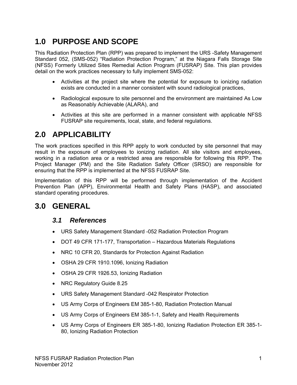# **1.0 PURPOSE AND SCOPE**

This Radiation Protection Plan (RPP) was prepared to implement the URS -Safety Management Standard 052, (SMS-052) "Radiation Protection Program," at the Niagara Falls Storage Site (NFSS) Formerly Utilized Sites Remedial Action Program (FUSRAP) Site. This plan provides detail on the work practices necessary to fully implement SMS-052:

- Activities at the project site where the potential for exposure to ionizing radiation exists are conducted in a manner consistent with sound radiological practices,
- Radiological exposure to site personnel and the environment are maintained As Low as Reasonably Achievable (ALARA), and
- Activities at this site are performed in a manner consistent with applicable NFSS FUSRAP site requirements, local, state, and federal regulations.

# **2.0 APPLICABILITY**

The work practices specified in this RPP apply to work conducted by site personnel that may result in the exposure of employees to ionizing radiation. All site visitors and employees, working in a radiation area or a restricted area are responsible for following this RPP. The Project Manager (PM) and the Site Radiation Safety Officer (SRSO) are responsible for ensuring that the RPP is implemented at the NFSS FUSRAP Site.

Implementation of this RPP will be performed through implementation of the Accident Prevention Plan (APP), Environmental Health and Safety Plans (HASP), and associated standard operating procedures.

# **3.0 GENERAL**

### *3.1 References*

- URS Safety Management Standard -052 Radiation Protection Program
- DOT 49 CFR 171-177, Transportation Hazardous Materials Regulations
- NRC 10 CFR 20, Standards for Protection Against Radiation
- OSHA 29 CFR 1910.1096, Ionizing Radiation
- OSHA 29 CFR 1926.53, Ionizing Radiation
- NRC Regulatory Guide 8.25
- URS Safety Management Standard -042 Respirator Protection
- US Army Corps of Engineers EM 385-1-80, Radiation Protection Manual
- US Army Corps of Engineers EM 385-1-1, Safety and Health Requirements
- US Army Corps of Engineers ER 385-1-80, Ionizing Radiation Protection ER 385-1- 80, Ionizing Radiation Protection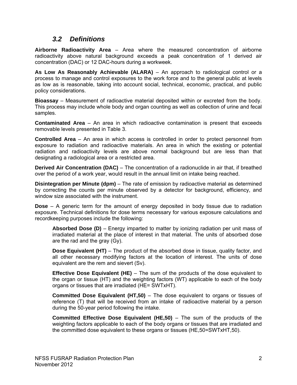### *3.2 Definitions*

**Airborne Radioactivity Area** – Area where the measured concentration of airborne radioactivity above natural background exceeds a peak concentration of 1 derived air concentration (DAC) or 12 DAC-hours during a workweek.

**As Low As Reasonably Achievable (ALARA)** – An approach to radiological control or a process to manage and control exposures to the work force and to the general public at levels as low as is reasonable, taking into account social, technical, economic, practical, and public policy considerations.

**Bioassay** – Measurement of radioactive material deposited within or excreted from the body. This process may include whole body and organ counting as well as collection of urine and fecal samples.

**Contaminated Area** – An area in which radioactive contamination is present that exceeds removable levels presented in Table 3.

**Controlled Area** – An area in which access is controlled in order to protect personnel from exposure to radiation and radioactive materials. An area in which the existing or potential radiation and radioactivity levels are above normal background but are less than that designating a radiological area or a restricted area.

**Derived Air Concentration (DAC)** – The concentration of a radionuclide in air that, if breathed over the period of a work year, would result in the annual limit on intake being reached.

**Disintegration per Minute (dpm)** – The rate of emission by radioactive material as determined by correcting the counts per minute observed by a detector for background, efficiency, and window size associated with the instrument.

**Dose** – A generic term for the amount of energy deposited in body tissue due to radiation exposure. Technical definitions for dose terms necessary for various exposure calculations and recordkeeping purposes include the following:

**Absorbed Dose (D)** – Energy imparted to matter by ionizing radiation per unit mass of irradiated material at the place of interest in that material. The units of absorbed dose are the rad and the gray (Gy).

**Dose Equivalent (HT)** – The product of the absorbed dose in tissue, quality factor, and all other necessary modifying factors at the location of interest. The units of dose equivalent are the rem and sievert (Sv).

**Effective Dose Equivalent (HE)** – The sum of the products of the dose equivalent to the organ or tissue (HT) and the weighting factors (WT) applicable to each of the body organs or tissues that are irradiated (HE= SWTxHT).

**Committed Dose Equivalent (HT,50)** – The dose equivalent to organs or tissues of reference (T) that will be received from an intake of radioactive material by a person during the 50-year period following the intake.

**Committed Effective Dose Equivalent (HE,50)** – The sum of the products of the weighting factors applicable to each of the body organs or tissues that are irradiated and the committed dose equivalent to these organs or tissues (HE,50=SWTxHT,50).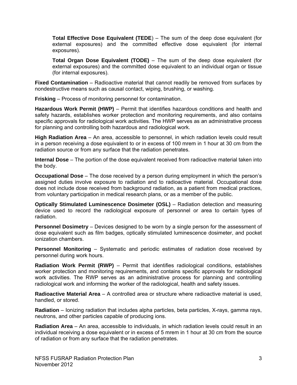**Total Effective Dose Equivalent (TEDE**) – The sum of the deep dose equivalent (for external exposures) and the committed effective dose equivalent (for internal exposures).

**Total Organ Dose Equivalent (TODE)** – The sum of the deep dose equivalent (for external exposures) and the committed dose equivalent to an individual organ or tissue (for internal exposures).

**Fixed Contamination** – Radioactive material that cannot readily be removed from surfaces by nondestructive means such as causal contact, wiping, brushing, or washing.

**Frisking** – Process of monitoring personnel for contamination.

**Hazardous Work Permit (HWP)** – Permit that identifies hazardous conditions and health and safety hazards, establishes worker protection and monitoring requirements, and also contains specific approvals for radiological work activities. The HWP serves as an administrative process for planning and controlling both hazardous and radiological work.

**High Radiation Area** – An area, accessible to personnel, in which radiation levels could result in a person receiving a dose equivalent to or in excess of 100 mrem in 1 hour at 30 cm from the radiation source or from any surface that the radiation penetrates.

**Internal Dose** – The portion of the dose equivalent received from radioactive material taken into the body.

**Occupational Dose** – The dose received by a person during employment in which the person's assigned duties involve exposure to radiation and to radioactive material. Occupational dose does not include dose received from background radiation, as a patient from medical practices, from voluntary participation in medical research plans, or as a member of the public.

**Optically Stimulated Luminescence Dosimeter (OSL)** – Radiation detection and measuring device used to record the radiological exposure of personnel or area to certain types of radiation.

**Personnel Dosimetry** – Devices designed to be worn by a single person for the assessment of dose equivalent such as film badges, optically stimulated luminescence dosimeter, and pocket ionization chambers.

**Personnel Monitoring** – Systematic and periodic estimates of radiation dose received by personnel during work hours.

**Radiation Work Permit (RWP)** – Permit that identifies radiological conditions, establishes worker protection and monitoring requirements, and contains specific approvals for radiological work activities. The RWP serves as an administrative process for planning and controlling radiological work and informing the worker of the radiological, health and safety issues.

**Radioactive Material Area** – A controlled area or structure where radioactive material is used, handled, or stored.

**Radiation** – Ionizing radiation that includes alpha particles, beta particles, X-rays, gamma rays, neutrons, and other particles capable of producing ions.

**Radiation Area** – An area, accessible to individuals, in which radiation levels could result in an individual receiving a dose equivalent or in excess of 5 mrem in 1 hour at 30 cm from the source of radiation or from any surface that the radiation penetrates.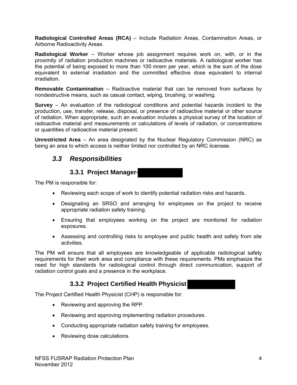**Radiological Controlled Areas (RCA)** – Include Radiation Areas, Contamination Areas, or Airborne Radioactivity Areas.

**Radiological Worker** – Worker whose job assignment requires work on, with, or in the proximity of radiation production machines or radioactive materials. A radiological worker has the potential of being exposed to more than 100 mrem per year, which is the sum of the dose equivalent to external irradiation and the committed effective dose equivalent to internal irradiation.

**Removable Contamination** – Radioactive material that can be removed from surfaces by nondestructive means, such as casual contact, wiping, brushing, or washing.

**Survey** – An evaluation of the radiological conditions and potential hazards incident to the production, use, transfer, release, disposal, or presence of radioactive material or other source of radiation. When appropriate, such an evaluation includes a physical survey of the location of radioactive material and measurements or calculations of levels of radiation, or concentrations or quantities of radioactive material present.

**Unrestricted Area** – An area designated by the Nuclear Regulatory Commission (NRC) as being an area to which access is neither limited nor controlled by an NRC licensee.

### *3.3 Responsibilities*

### **3.3.1 Project Manager-**

The PM is responsible for:

- Reviewing each scope of work to identify potential radiation risks and hazards.
- Designating an SRSO and arranging for employees on the project to receive appropriate radiation safety training.
- Ensuring that employees working on the project are monitored for radiation exposures.
- Assessing and controlling risks to employee and public health and safety from site activities.

The PM will ensure that all employees are knowledgeable of applicable radiological safety requirements for their work area and compliance with these requirements. PMs emphasize the need for high standards for radiological control through direct communication, support of radiation control goals and a presence in the workplace.

### **3.3.2 Project Certified Health Physicist**

The Project Certified Health Physicist (CHP) is responsible for:

- Reviewing and approving the RPP.
- Reviewing and approving implementing radiation procedures.
- Conducting appropriate radiation safety training for employees.
- Reviewing dose calculations.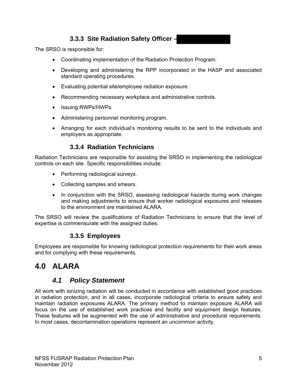### **3.3.3 Site Radiation Safety Officer –**

The SRSO is responsible for:

- Coordinating implementation of the Radiation Protection Program.
- Developing and administering the RPP incorporated in the HASP and associated standard operating procedures.
- Evaluating potential site/employee radiation exposure.
- Recommending necessary workplace and administrative controls.
- Issuing RWPs/HWPs.
- Administering personnel monitoring program.
- Arranging for each individual's monitoring results to be sent to the individuals and employers as appropriate.

### **3.3.4 Radiation Technicians**

Radiation Technicians are responsible for assisting the SRSO in implementing the radiological controls on each site. Specific responsibilities include:

- Performing radiological surveys.
- Collecting samples and smears.
- In conjunction with the SRSO, assessing radiological hazards during work changes and making adjustments to ensure that worker radiological exposures and releases to the environment are maintained ALARA.

The SRSO will review the qualifications of Radiation Technicians to ensure that the level of expertise is commensurate with the assigned duties.

### **3.3.5 Employees**

Employees are responsible for knowing radiological protection requirements for their work areas and for complying with these requirements.

# **4.0 ALARA**

## *4.1 Policy Statement*

All work with ionizing radiation will be conducted in accordance with established good practices in radiation protection, and in all cases, incorporate radiological criteria to ensure safety and maintain radiation exposures ALARA. The primary method to maintain exposure ALARA will focus on the use of established work practices and facility and equipment design features. These features will be augmented with the use of administrative and procedural requirements. In most cases, decontamination operations represent an uncommon activity.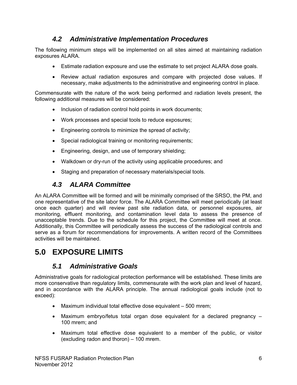## *4.2 Administrative Implementation Procedures*

The following minimum steps will be implemented on all sites aimed at maintaining radiation exposures ALARA.

- Estimate radiation exposure and use the estimate to set project ALARA dose goals.
- Review actual radiation exposures and compare with projected dose values. If necessary, make adjustments to the administrative and engineering control in place.

Commensurate with the nature of the work being performed and radiation levels present, the following additional measures will be considered:

- Inclusion of radiation control hold points in work documents;
- Work processes and special tools to reduce exposures;
- Engineering controls to minimize the spread of activity;
- Special radiological training or monitoring requirements;
- Engineering, design, and use of temporary shielding;
- Walkdown or dry-run of the activity using applicable procedures; and
- Staging and preparation of necessary materials/special tools.

## *4.3 ALARA Committee*

An ALARA Committee will be formed and will be minimally comprised of the SRSO, the PM, and one representative of the site labor force. The ALARA Committee will meet periodically (at least once each quarter) and will review past site radiation data, or personnel exposures, air monitoring, effluent monitoring, and contamination level data to assess the presence of unacceptable trends. Due to the schedule for this project, the Committee will meet at once. Additionally, this Committee will periodically assess the success of the radiological controls and serve as a forum for recommendations for improvements. A written record of the Committees activities will be maintained.

# **5.0 EXPOSURE LIMITS**

### *5.1 Administrative Goals*

Administrative goals for radiological protection performance will be established. These limits are more conservative than regulatory limits, commensurate with the work plan and level of hazard, and in accordance with the ALARA principle. The annual radiological goals include (not to exceed):

- Maximum individual total effective dose equivalent 500 mrem;
- Maximum embryo/fetus total organ dose equivalent for a declared pregnancy 100 mrem; and
- Maximum total effective dose equivalent to a member of the public, or visitor (excluding radon and thoron) – 100 mrem.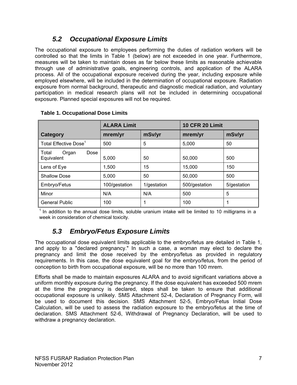## *5.2 Occupational Exposure Limits*

The occupational exposure to employees performing the duties of radiation workers will be controlled so that the limits in Table 1 (below) are not exceeded in one year. Furthermore, measures will be taken to maintain doses as far below these limits as reasonable achievable through use of administrative goals, engineering controls, and application of the ALARA process. All of the occupational exposure received during the year, including exposure while employed elsewhere, will be included in the determination of occupational exposure. Radiation exposure from normal background, therapeutic and diagnostic medical radiation, and voluntary participation in medical research plans will not be included in determining occupational exposure. Planned special exposures will not be required.

|                                      | <b>ALARA Limit</b> |             | <b>10 CFR 20 Limit</b> |             |
|--------------------------------------|--------------------|-------------|------------------------|-------------|
| Category                             | mrem/yr            | mSv/yr      | mrem/yr                | mSv/yr      |
| Total Effective Dose <sup>1</sup>    | 500                | 5           | 5,000                  | 50          |
| Total<br>Dose<br>Organ<br>Equivalent | 5,000              | 50          | 50,000                 | 500         |
| Lens of Eye                          | 1.500              | 15          | 15,000                 | 150         |
| <b>Shallow Dose</b>                  | 5,000              | 50          | 50,000                 | 500         |
| Embryo/Fetus                         | 100/gestation      | 1/gestation | 500/gestation          | 5/gestation |
| Minor                                | N/A                | N/A         | 500                    | 5           |
| <b>General Public</b>                | 100                | 1           | 100                    | 1           |

#### **Table 1. Occupational Dose Limits**

 $<sup>1</sup>$  In addition to the annual dose limits, soluble uranium intake will be limited to 10 milligrams in a</sup> week in consideration of chemical toxicity.

### *5.3 Embryo/Fetus Exposure Limits*

The occupational dose equivalent limits applicable to the embryo/fetus are detailed in Table 1, and apply to a "declared pregnancy." In such a case, a woman may elect to declare the pregnancy and limit the dose received by the embryo/fetus as provided in regulatory requirements. In this case, the dose equivalent goal for the embryo/fetus, from the period of conception to birth from occupational exposure, will be no more than 100 mrem.

Efforts shall be made to maintain exposures ALARA and to avoid significant variations above a uniform monthly exposure during the pregnancy. If the dose equivalent has exceeded 500 mrem at the time the pregnancy is declared, steps shall be taken to ensure that additional occupational exposure is unlikely. SMS Attachment 52-4, Declaration of Pregnancy Form, will be used to document this decision. SMS Attachment 52-5, Embryo/Fetus Initial Dose Calculation, will be used to assess the radiation exposure to the embryo/fetus at the time of declaration. SMS Attachment 52-6, Withdrawal of Pregnancy Declaration, will be used to withdraw a pregnancy declaration.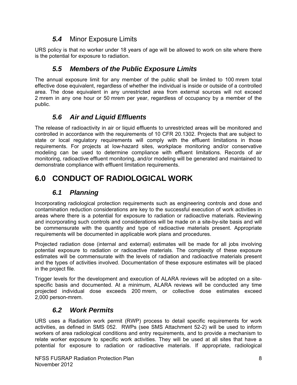### *5.4* Minor Exposure Limits

URS policy is that no worker under 18 years of age will be allowed to work on site where there is the potential for exposure to radiation.

## *5.5 Members of the Public Exposure Limits*

The annual exposure limit for any member of the public shall be limited to 100 mrem total effective dose equivalent, regardless of whether the individual is inside or outside of a controlled area. The dose equivalent in any unrestricted area from external sources will not exceed 2 mrem in any one hour or 50 mrem per year, regardless of occupancy by a member of the public.

## *5.6 Air and Liquid Effluents*

The release of radioactivity in air or liquid effluents to unrestricted areas will be monitored and controlled in accordance with the requirements of 10 CFR 20.1302. Projects that are subject to state or local regulatory requirements will comply with the effluent limitations in those requirements. For projects at low-hazard sites, workplace monitoring and/or conservative modeling can be used to determine compliance with effluent limitations. Records of air monitoring, radioactive effluent monitoring, and/or modeling will be generated and maintained to demonstrate compliance with effluent limitation requirements.

# **6.0 CONDUCT OF RADIOLOGICAL WORK**

## *6.1 Planning*

Incorporating radiological protection requirements such as engineering controls and dose and contamination reduction considerations are key to the successful execution of work activities in areas where there is a potential for exposure to radiation or radioactive materials. Reviewing and incorporating such controls and considerations will be made on a site-by-site basis and will be commensurate with the quantity and type of radioactive materials present. Appropriate requirements will be documented in applicable work plans and procedures.

Projected radiation dose (internal and external) estimates will be made for all jobs involving potential exposure to radiation or radioactive materials. The complexity of these exposure estimates will be commensurate with the levels of radiation and radioactive materials present and the types of activities involved. Documentation of these exposure estimates will be placed in the project file.

Trigger levels for the development and execution of ALARA reviews will be adopted on a sitespecific basis and documented. At a minimum, ALARA reviews will be conducted any time projected individual dose exceeds 200 mrem, or collective dose estimates exceed 2,000 person-mrem.

## *6.2 Work Permits*

URS uses a Radiation work permit (RWP) process to detail specific requirements for work activities, as defined in SMS 052. RWPs (see SMS Attachment 52-2) will be used to inform workers of area radiological conditions and entry requirements, and to provide a mechanism to relate worker exposure to specific work activities. They will be used at all sites that have a potential for exposure to radiation or radioactive materials. If appropriate, radiological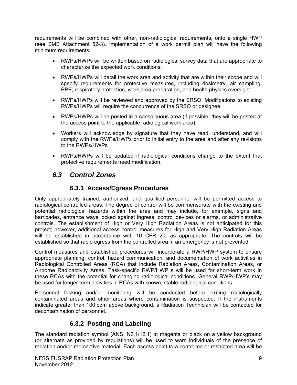requirements will be combined with other, non-radiological requirements, onto a single HWP (see SMS Attachment 52-3). Implementation of a work permit plan will have the following minimum requirements:

- RWPs/HWPs will be written based on radiological survey data that are appropriate to characterize the expected work conditions.
- RWPs/HWPs will detail the work area and activity that are within their scope and will specify requirements for protective measures, including dosimetry, air sampling, PPE, respiratory protection, work area preparation, and health physics oversight.
- RWPs/HWPs will be reviewed and approved by the SRSO. Modifications to existing RWPs/HWPs will require the concurrence of the SRSO or designee.
- RWPs/HWPs will be posted in a conspicuous area (if possible, they will be posted at the access point to the applicable radiological work area).
- Workers will acknowledge by signature that they have read, understand, and will comply with the RWPs/HWPs prior to initial entry to the area and after any revisions to the RWPs/HWPs.
- RWPs/HWPs will be updated if radiological conditions change to the extent that protective requirements need modification.

### *6.3 Control Zones*

### **6.3.1 Access/Egress Procedures**

Only appropriately trained, authorized, and qualified personnel will be permitted access to radiological controlled areas. The degree of control will be commensurate with the existing and potential radiological hazards within the area and may include, for example, signs and barricades, entrance ways locked against ingress, control devices or alarms, or administrative controls. The establishment of High or Very High Radiation Areas is not anticipated for this project; however, additional access control measures for High and Very High Radiation Areas will be established in accordance with 10 CFR 20, as appropriate. The controls will be established so that rapid egress from the controlled area in an emergency is not prevented.

Control measures and established procedures will incorporate a RWP/HWP system to ensure appropriate planning, control, hazard communication, and documentation of work activities in Radiological Controlled Areas (RCA) that include Radiation Areas, Contamination Areas, or Airborne Radioactivity Areas. Task-specific RWP/HWP s will be used for short-term work in these RCAs with the potential for changing radiological conditions. General RWP/HWP's may be used for longer term activities in RCAs with known, stable radiological conditions.

Personnel frisking and/or monitoring will be conducted before exiting radiologically contaminated areas and other areas where contamination is suspected. If the instruments indicate greater than 100 cpm above background, a Radiation Technician will be contacted for decontamination of personnel.

### **6.3.2 Posting and Labeling**

The standard radiation symbol (ANSI N2.1/12.1) in magenta or black on a yellow background (or alternate as provided by regulations) will be used to warn individuals of the presence of radiation and/or radioactive material. Each access point to a controlled or restricted area will be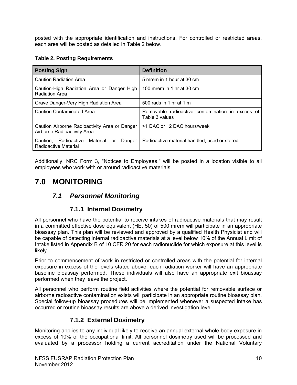posted with the appropriate identification and instructions. For controlled or restricted areas, each area will be posted as detailed in Table 2 below.

### **Table 2. Posting Requirements**

| <b>Posting Sign</b>                                                          | <b>Definition</b>                                                  |  |
|------------------------------------------------------------------------------|--------------------------------------------------------------------|--|
| <b>Caution Radiation Area</b>                                                | 5 mrem in 1 hour at 30 cm                                          |  |
| Caution-High Radiation Area or Danger High<br><b>Radiation Area</b>          | 100 mrem in 1 hr at 30 cm                                          |  |
| Grave Danger-Very High Radiation Area                                        | 500 rads in 1 hr at 1 m                                            |  |
| <b>Caution Contaminated Area</b>                                             | Removable radioactive contamination in excess of<br>Table 3 values |  |
| Caution Airborne Radioactivity Area or Danger<br>Airborne Radioactivity Area | >1 DAC or 12 DAC hours/week                                        |  |
| Radioactive<br>Material<br>Caution.<br>Danger<br>or<br>Radioactive Material  | Radioactive material handled, used or stored                       |  |

Additionally, NRC Form 3, "Notices to Employees," will be posted in a location visible to all employees who work with or around radioactive materials.

# **7.0 MONITORING**

## *7.1 Personnel Monitoring*

### **7.1.1 Internal Dosimetry**

All personnel who have the potential to receive intakes of radioactive materials that may result in a committed effective dose equivalent (HE, 50) of 500 mrem will participate in an appropriate bioassay plan. This plan will be reviewed and approved by a qualified Health Physicist and will be capable of detecting internal radioactive materials at a level below 10% of the Annual Limit of Intake listed in Appendix B of 10 CFR 20 for each radionuclide for which exposure at this level is likely.

Prior to commencement of work in restricted or controlled areas with the potential for internal exposure in excess of the levels stated above, each radiation worker will have an appropriate baseline bioassay performed. These individuals will also have an appropriate exit bioassay performed when they leave the project.

All personnel who perform routine field activities where the potential for removable surface or airborne radioactive contamination exists will participate in an appropriate routine bioassay plan. Special follow-up bioassay procedures will be implemented whenever a suspected intake has occurred or routine bioassay results are above a derived investigation level.

### **7.1.2 External Dosimetry**

Monitoring applies to any individual likely to receive an annual external whole body exposure in excess of 10% of the occupational limit. All personnel dosimetry used will be processed and evaluated by a processor holding a current accreditation under the National Voluntary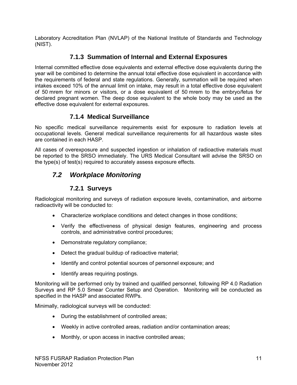Laboratory Accreditation Plan (NVLAP) of the National Institute of Standards and Technology (NIST).

### **7.1.3 Summation of Internal and External Exposures**

Internal committed effective dose equivalents and external effective dose equivalents during the year will be combined to determine the annual total effective dose equivalent in accordance with the requirements of federal and state regulations. Generally, summation will be required when intakes exceed 10% of the annual limit on intake, may result in a total effective dose equivalent of 50 mrem for minors or visitors, or a dose equivalent of 50 mrem to the embryo/fetus for declared pregnant women. The deep dose equivalent to the whole body may be used as the effective dose equivalent for external exposures.

### **7.1.4 Medical Surveillance**

No specific medical surveillance requirements exist for exposure to radiation levels at occupational levels. General medical surveillance requirements for all hazardous waste sites are contained in each HASP.

All cases of overexposure and suspected ingestion or inhalation of radioactive materials must be reported to the SRSO immediately. The URS Medical Consultant will advise the SRSO on the type(s) of test(s) required to accurately assess exposure effects.

## *7.2 Workplace Monitoring*

### **7.2.1 Surveys**

Radiological monitoring and surveys of radiation exposure levels, contamination, and airborne radioactivity will be conducted to:

- Characterize workplace conditions and detect changes in those conditions;
- Verify the effectiveness of physical design features, engineering and process controls, and administrative control procedures;
- Demonstrate regulatory compliance;
- Detect the gradual buildup of radioactive material;
- Identify and control potential sources of personnel exposure; and
- Identify areas requiring postings.

Monitoring will be performed only by trained and qualified personnel, following RP 4.0 Radiation Surveys and RP 5.0 Smear Counter Setup and Operation. Monitoring will be conducted as specified in the HASP and associated RWPs.

Minimally, radiological surveys will be conducted:

- During the establishment of controlled areas;
- Weekly in active controlled areas, radiation and/or contamination areas;
- Monthly, or upon access in inactive controlled areas;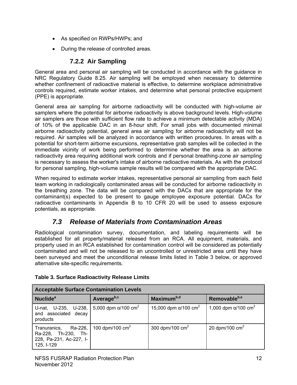- As specified on RWPs/HWPs; and
- During the release of controlled areas.

### **7.2.2 Air Sampling**

General area and personal air sampling will be conducted in accordance with the guidance in NRC Regulatory Guide 8.25. Air sampling will be employed when necessary to determine whether confinement of radioactive material is effective, to determine workplace administrative controls required, estimate worker intakes, and determine what personal protective equipment (PPE) is appropriate.

General area air sampling for airborne radioactivity will be conducted with high-volume air samplers where the potential for airborne radioactivity is above background levels. High-volume air samplers are those with sufficient flow rate to achieve a minimum detectable activity (MDA) of 10% of the applicable DAC in an 8-hour shift. For small jobs with documented minimal airborne radioactivity potential, general area air sampling for airborne radioactivity will not be required. Air samples will be analyzed in accordance with written procedures. In areas with a potential for short-term airborne excursions, representative grab samples will be collected in the immediate vicinity of work being performed to determine whether the area is an airborne radioactivity area requiring additional work controls and if personal breathing-zone air sampling is necessary to assess the worker's intake of airborne radioactive materials. As with the protocol for personal sampling, high-volume sample results will be compared with the appropriate DAC.

When required to estimate worker intakes, representative personal air sampling from each field team working in radiologically contaminated areas will be conducted for airborne radioactivity in the breathing zone. The data will be compared with the DACs that are appropriate for the contaminant(s) expected to be present to gauge employee exposure potential. DACs for radioactive contaminants in Appendix B to 10 CFR 20 will be used to assess exposure potentials, as appropriate.

## *7.3 Release of Materials from Contamination Areas*

Radiological contamination survey, documentation, and labeling requirements will be established for all property/material released from an RCA. All equipment, materials, and property used in an RCA established for contamination control will be considered as potentially contaminated and will not be released to an uncontrolled or unrestricted area until they have been surveyed and meet the unconditional release limits listed in Table 3 below, or approved alternative site-specific requirements.

| <b>Acceptable Surface Contamination Levels</b>                                                   |                           |                                          |                                         |  |
|--------------------------------------------------------------------------------------------------|---------------------------|------------------------------------------|-----------------------------------------|--|
| Nuclide <sup>a</sup>                                                                             | Averageb,c                | Maximum <sup>b,d</sup>                   | Removableb,e                            |  |
| U-nat, U-235, U-238, 5,000 dpm $\alpha$ /100 cm <sup>2</sup><br>and associated decay<br>products |                           | 15,000 dpm $\alpha$ /100 cm <sup>2</sup> | 1,000 dpm $\alpha$ /100 cm <sup>2</sup> |  |
| Ra-226,<br>Tranuranics,<br>Ra-228, Th-230, Th-<br>228, Pa-231, Ac-227, I-<br>$125, 1-129$        | 100 dpm/100 $\text{cm}^2$ | 300 dpm/100 $\text{cm}^2$                | 20 dpm/100 $\text{cm}^2$                |  |

### **Table 3. Surface Radioactivity Release Limits**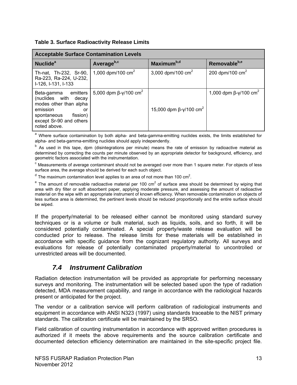|  | <b>Table 3. Surface Radioactivity Release Limits</b> |  |
|--|------------------------------------------------------|--|
|  |                                                      |  |

| <b>Acceptable Surface Contamination Levels</b>                                                                                                                   |                                                |                                           |                                          |  |
|------------------------------------------------------------------------------------------------------------------------------------------------------------------|------------------------------------------------|-------------------------------------------|------------------------------------------|--|
| <b>Nuclide</b> <sup>a</sup>                                                                                                                                      | Average <sup>b,c</sup>                         | Maximum <sup>b,d</sup>                    | Removable <sup>b,e</sup>                 |  |
| Th-nat, Th-232, Sr-90,<br>Ra-223, Ra-224, U-232,<br>I-126, I-131, I-133                                                                                          | 1,000 dpm/100 $\text{cm}^2$                    | 3,000 dpm/100 $\text{cm}^2$               | 200 dpm/100 $\text{cm}^2$                |  |
| emitters<br>Beta-gamma<br>(nuclides with decay<br>modes other than alpha<br>emission<br>or<br>fission)<br>spontaneous<br>except Sr-90 and others<br>noted above. | 5,000 dpm $\beta - \gamma/100$ cm <sup>2</sup> | 15,000 dpm $\beta$ -y/100 cm <sup>2</sup> | 1,000 dpm $\beta$ -γ/100 cm <sup>2</sup> |  |

a Where surface contamination by both alpha- and beta-gamma-emitting nuclides exists, the limits established for alpha- and beta-gamma-emitting nuclides should apply independently.

<sup>b</sup> As used in this tape, dpm (disintegrations per minute) means the rate of emission by radioactive material as determined by correcting the counts per minute observed by an appropriate detector for background, efficiency, and geometric factors associated with the instrumentation.

 $\textdegree$  Measurements of average contaminant should not be averaged over more than 1 square meter. For objects of less surface area, the average should be derived for each such object.

 $^{\text{d}}$  The maximum contamination level applies to an area of not more than 100 cm<sup>2</sup>.

 $e$  The amount of removable radioactive material per 100 cm<sup>2</sup> of surface area should be determined by wiping that area with dry filter or soft absorbent paper, applying moderate pressure, and assessing the amount of radioactive material on the wipe with an appropriate instrument of known efficiency. When removable contamination on objects of less surface area is determined, the pertinent levels should be reduced proportionally and the entire surface should be wiped.

If the property/material to be released either cannot be monitored using standard survey techniques or is a volume or bulk material, such as liquids, soils, and so forth, it will be considered potentially contaminated. A special property/waste release evaluation will be conducted prior to release. The release limits for these materials will be established in accordance with specific guidance from the cognizant regulatory authority. All surveys and evaluations for release of potentially contaminated property/material to uncontrolled or unrestricted areas will be documented.

### *7.4 Instrument Calibration*

Radiation detection instrumentation will be provided as appropriate for performing necessary surveys and monitoring. The instrumentation will be selected based upon the type of radiation detected, MDA measurement capability, and range in accordance with the radiological hazards present or anticipated for the project.

The vendor or a calibration service will perform calibration of radiological instruments and equipment in accordance with ANSI N323 (1997) using standards traceable to the NIST primary standards. The calibration certificate will be maintained by the SRSO.

Field calibration of counting instrumentation in accordance with approved written procedures is authorized if it meets the above requirements and the source calibration certificate and documented detection efficiency determination are maintained in the site-specific project file.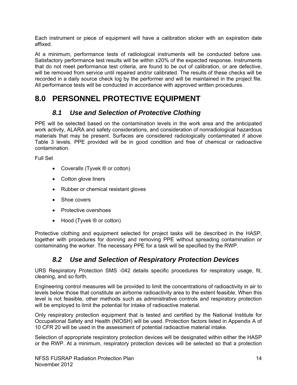Each instrument or piece of equipment will have a calibration sticker with an expiration date affixed.

At a minimum, performance tests of radiological instruments will be conducted before use. Satisfactory performance test results will be within ±20% of the expected response. Instruments that do not meet performance test criteria, are found to be out of calibration, or are defective, will be removed from service until repaired and/or calibrated. The results of these checks will be recorded in a daily source check log by the performer and will be maintained in the project file. All performance tests will be conducted in accordance with approved written procedures.

# **8.0 PERSONNEL PROTECTIVE EQUIPMENT**

### *8.1 Use and Selection of Protective Clothing*

PPE will be selected based on the contamination levels in the work area and the anticipated work activity, ALARA and safety considerations, and consideration of nonradiological hazardous materials that may be present. Surfaces are considered radiologically contaminated if above Table 3 levels. PPE provided will be in good condition and free of chemical or radioactive contamination.

Full Set

- Coveralls (Tyvek ® or cotton)
- Cotton glove liners
- Rubber or chemical resistant gloves
- Shoe covers
- Protective overshoes
- Hood (Tyvek ® or cotton)

Protective clothing and equipment selected for project tasks will be described in the HASP, together with procedures for donning and removing PPE without spreading contamination or contaminating the worker. The necessary PPE for a task will be specified by the RWP.

## *8.2 Use and Selection of Respiratory Protection Devices*

URS Respiratory Protection SMS -042 details specific procedures for respiratory usage, fit, cleaning, and so forth.

Engineering control measures will be provided to limit the concentrations of radioactivity in air to levels below those that constitute an airborne radioactivity area to the extent feasible. When this level is not feasible, other methods such as administrative controls and respiratory protection will be employed to limit the potential for intake of radioactive material.

Only respiratory protection equipment that is tested and certified by the National Institute for Occupational Safety and Health (NIOSH) will be used. Protection factors listed in Appendix A of 10 CFR 20 will be used in the assessment of potential radioactive material intake.

Selection of appropriate respiratory protection devices will be designated within either the HASP or the RWP. At a minimum, respiratory protection devices will be selected so that a protection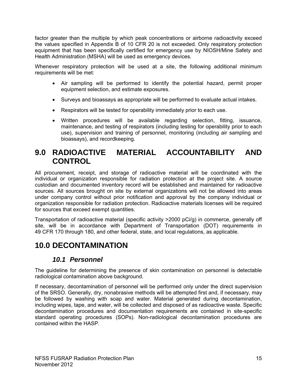factor greater than the multiple by which peak concentrations or airborne radioactivity exceed the values specified in Appendix B of 10 CFR 20 is not exceeded. Only respiratory protection equipment that has been specifically certified for emergency use by NIOSH/Mine Safety and Health Administration (MSHA) will be used as emergency devices.

Whenever respiratory protection will be used at a site, the following additional minimum requirements will be met:

- Air sampling will be performed to identify the potential hazard, permit proper equipment selection, and estimate exposures.
- Surveys and bioassays as appropriate will be performed to evaluate actual intakes.
- Respirators will be tested for operability immediately prior to each use.
- Written procedures will be available regarding selection, fitting, issuance, maintenance, and testing of respirators (including testing for operability prior to each use), supervision and training of personnel, monitoring (including air sampling and bioassays), and recordkeeping.

## **9.0 RADIOACTIVE MATERIAL ACCOUNTABILITY AND CONTROL**

All procurement, receipt, and storage of radioactive material will be coordinated with the individual or organization responsible for radiation protection at the project site. A source custodian and documented inventory record will be established and maintained for radioactive sources. All sources brought on site by external organizations will not be allowed into areas under company control without prior notification and approval by the company individual or organization responsible for radiation protection. Radioactive materials licenses will be required for sources that exceed exempt quantities.

Transportation of radioactive material (specific activity >2000 pCi/g) in commerce, generally off site, will be in accordance with Department of Transportation (DOT) requirements in 49 CFR 170 through 180, and other federal, state, and local regulations, as applicable.

# **10.0 DECONTAMINATION**

### *10.1 Personnel*

The guideline for determining the presence of skin contamination on personnel is detectable radiological contamination above background.

If necessary, decontamination of personnel will be performed only under the direct supervision of the SRSO. Generally, dry, nonabrasive methods will be attempted first and, if necessary, may be followed by washing with soap and water. Material generated during decontamination, including wipes, tape, and water, will be collected and disposed of as radioactive waste. Specific decontamination procedures and documentation requirements are contained in site-specific standard operating procedures (SOPs). Non-radiological decontamination procedures are contained within the HASP.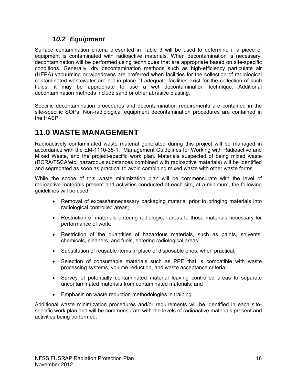### *10.2 Equipment*

Surface contamination criteria presented in Table 3 will be used to determine if a piece of equipment is contaminated with radioactive materials. When decontamination is necessary, decontamination will be performed using techniques that are appropriate based on site-specific conditions. Generally, dry decontamination methods such as high-efficiency particulate air (HEPA) vacuuming or wipedowns are preferred when facilities for the collection of radiological contaminated wastewater are not in place. If adequate facilities exist for the collection of such fluids, it may be appropriate to use a wet decontamination technique. Additional decontamination methods include sand or other abrasive blasting.

Specific decontamination procedures and decontamination requirements are contained in the site-specific SOPs. Non-radiological equipment decontamination procedures are contained in the HASP.

# **11.0 WASTE MANAGEMENT**

Radioactively contaminated waste material generated during this project will be managed in accordance with the EM-1110-35-1, "Management Guidelines for Working with Radioactive and Mixed Waste, and the project-specific work plan. Materials suspected of being mixed waste (RCRA/TSCA/etc. hazardous substances combined with radioactive materials) will be identified and segregated as soon as practical to avoid combining mixed waste with other waste forms.

While the scope of this waste minimization plan will be commensurate with the level of radioactive materials present and activities conducted at each site, at a minimum, the following guidelines will be used:

- Removal of excess/unnecessary packaging material prior to bringing materials into radiological controlled areas;
- Restriction of materials entering radiological areas to those materials necessary for performance of work;
- Restriction of the quantities of hazardous materials, such as paints, solvents, chemicals, cleaners, and fuels, entering radiological areas;
- Substitution of reusable items in place of disposable ones, when practical;
- Selection of consumable materials such as PPE that is compatible with waste processing systems, volume reduction, and waste acceptance criteria;
- Survey of potentially contaminated material leaving controlled areas to separate uncontaminated materials from contaminated materials; and
- Emphasis on waste reduction methodologies in training.

Additional waste minimization procedures and/or requirements will be identified in each sitespecific work plan and will be commensurate with the levels of radioactive materials present and activities being performed.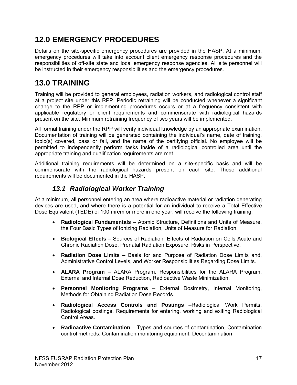# **12.0 EMERGENCY PROCEDURES**

Details on the site-specific emergency procedures are provided in the HASP. At a minimum, emergency procedures will take into account client emergency response procedures and the responsibilities of off-site state and local emergency response agencies. All site personnel will be instructed in their emergency responsibilities and the emergency procedures.

# **13.0 TRAINING**

Training will be provided to general employees, radiation workers, and radiological control staff at a project site under this RPP. Periodic retraining will be conducted whenever a significant change to the RPP or implementing procedures occurs or at a frequency consistent with applicable regulatory or client requirements and commensurate with radiological hazards present on the site. Minimum retraining frequency of two years will be implemented.

All formal training under the RPP will verify individual knowledge by an appropriate examination. Documentation of training will be generated containing the individual's name, date of training, topic(s) covered, pass or fail, and the name of the certifying official. No employee will be permitted to independently perform tasks inside of a radiological controlled area until the appropriate training and qualification requirements are met.

Additional training requirements will be determined on a site-specific basis and will be commensurate with the radiological hazards present on each site. These additional requirements will be documented in the HASP.

## *13.1 Radiological Worker Training*

At a minimum, all personnel entering an area where radioactive material or radiation generating devices are used, and where there is a potential for an individual to receive a Total Effective Dose Equivalent (TEDE) of 100 mrem or more in one year, will receive the following training:

- **Radiological Fundamentals** Atomic Structure, Definitions and Units of Measure, the Four Basic Types of Ionizing Radiation, Units of Measure for Radiation.
- **Biological Effects** Sources of Radiation, Effects of Radiation on Cells Acute and Chronic Radiation Dose, Prenatal Radiation Exposure, Risks in Perspective.
- **Radiation Dose Limits** Basis for and Purpose of Radiation Dose Limits and, Administrative Control Levels, and Worker Responsibilities Regarding Dose Limits.
- **ALARA Program** ALARA Program, Responsibilities for the ALARA Program, External and Internal Dose Reduction, Radioactive Waste Minimization.
- **Personnel Monitoring Programs** External Dosimetry, Internal Monitoring, Methods for Obtaining Radiation Dose Records.
- **Radiological Access Controls and Postings** –Radiological Work Permits, Radiological postings, Requirements for entering, working and exiting Radiological Control Areas.
- **Radioactive Contamination**  Types and sources of contamination, Contamination control methods, Contamination monitoring equipment, Decontamination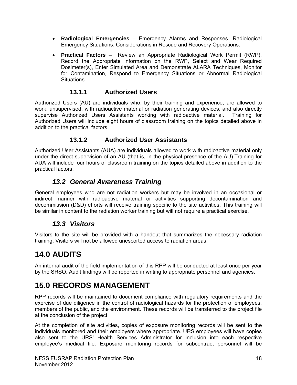- **Radiological Emergencies** Emergency Alarms and Responses, Radiological Emergency Situations, Considerations in Rescue and Recovery Operations.
- **Practical Factors** Review an Appropriate Radiological Work Permit (RWP), Record the Appropriate Information on the RWP, Select and Wear Required Dosimeter(s), Enter Simulated Area and Demonstrate ALARA Techniques, Monitor for Contamination, Respond to Emergency Situations or Abnormal Radiological Situations.

### **13.1.1 Authorized Users**

Authorized Users (AU) are individuals who, by their training and experience, are allowed to work, unsupervised, with radioactive material or radiation generating devices, and also directly supervise Authorized Users Assistants working with radioactive material. Training for Authorized Users will include eight hours of classroom training on the topics detailed above in addition to the practical factors.

### **13.1.2 Authorized User Assistants**

Authorized User Assistants (AUA) are individuals allowed to work with radioactive material only under the direct supervision of an AU (that is, in the physical presence of the AU).Training for AUA will include four hours of classroom training on the topics detailed above in addition to the practical factors.

### *13.2 General Awareness Training*

General employees who are not radiation workers but may be involved in an occasional or indirect manner with radioactive material or activities supporting decontamination and decommission (D&D) efforts will receive training specific to the site activities. This training will be similar in content to the radiation worker training but will not require a practical exercise.

### *13.3 Visitors*

Visitors to the site will be provided with a handout that summarizes the necessary radiation training. Visitors will not be allowed unescorted access to radiation areas.

# **14.0 AUDITS**

An internal audit of the field implementation of this RPP will be conducted at least once per year by the SRSO. Audit findings will be reported in writing to appropriate personnel and agencies.

# **15.0 RECORDS MANAGEMENT**

RPP records will be maintained to document compliance with regulatory requirements and the exercise of due diligence in the control of radiological hazards for the protection of employees, members of the public, and the environment. These records will be transferred to the project file at the conclusion of the project.

At the completion of site activities, copies of exposure monitoring records will be sent to the individuals monitored and their employers where appropriate. URS employees will have copies also sent to the URS' Health Services Administrator for inclusion into each respective employee's medical file. Exposure monitoring records for subcontract personnel will be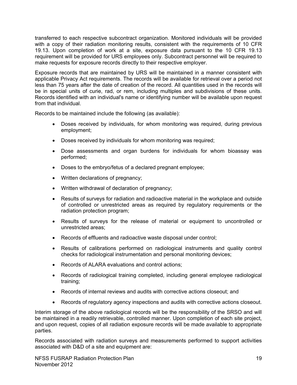transferred to each respective subcontract organization. Monitored individuals will be provided with a copy of their radiation monitoring results, consistent with the requirements of 10 CFR 19.13. Upon completion of work at a site, exposure data pursuant to the 10 CFR 19.13 requirement will be provided for URS employees only. Subcontract personnel will be required to make requests for exposure records directly to their respective employer.

Exposure records that are maintained by URS will be maintained in a manner consistent with applicable Privacy Act requirements. The records will be available for retrieval over a period not less than 75 years after the date of creation of the record. All quantities used in the records will be in special units of curie, rad, or rem, including multiples and subdivisions of these units. Records identified with an individual's name or identifying number will be available upon request from that individual.

Records to be maintained include the following (as available):

- Doses received by individuals, for whom monitoring was required, during previous employment;
- Doses received by individuals for whom monitoring was required;
- Dose assessments and organ burdens for individuals for whom bioassay was performed;
- Doses to the embryo/fetus of a declared pregnant employee;
- Written declarations of pregnancy;
- Written withdrawal of declaration of pregnancy;
- Results of surveys for radiation and radioactive material in the workplace and outside of controlled or unrestricted areas as required by regulatory requirements or the radiation protection program;
- Results of surveys for the release of material or equipment to uncontrolled or unrestricted areas;
- Records of effluents and radioactive waste disposal under control;
- Results of calibrations performed on radiological instruments and quality control checks for radiological instrumentation and personal monitoring devices;
- Records of ALARA evaluations and control actions;
- Records of radiological training completed, including general employee radiological training;
- Records of internal reviews and audits with corrective actions closeout; and
- Records of regulatory agency inspections and audits with corrective actions closeout.

Interim storage of the above radiological records will be the responsibility of the SRSO and will be maintained in a readily retrievable, controlled manner. Upon completion of each site project, and upon request, copies of all radiation exposure records will be made available to appropriate parties.

Records associated with radiation surveys and measurements performed to support activities associated with D&D of a site and equipment are: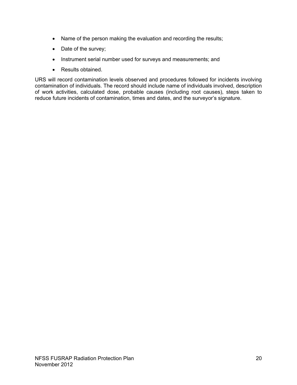- Name of the person making the evaluation and recording the results;
- Date of the survey;
- Instrument serial number used for surveys and measurements; and
- Results obtained.

URS will record contamination levels observed and procedures followed for incidents involving contamination of individuals. The record should include name of individuals involved, description of work activities, calculated dose, probable causes (including root causes), steps taken to reduce future incidents of contamination, times and dates, and the surveyor's signature.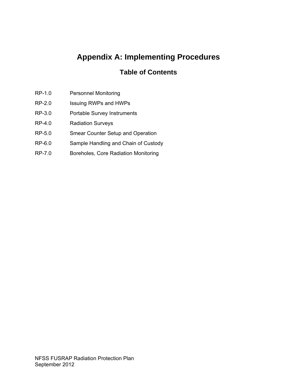# **Appendix A: Implementing Procedures**

## **Table of Contents**

- RP-1.0 Personnel Monitoring
- RP-2.0 Issuing RWPs and HWPs
- RP-3.0 Portable Survey Instruments
- RP-4.0 Radiation Surveys
- RP-5.0 Smear Counter Setup and Operation
- RP-6.0 Sample Handling and Chain of Custody
- RP-7.0 Boreholes, Core Radiation Monitoring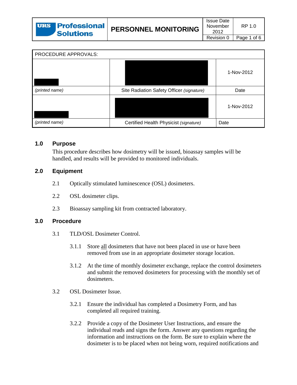| <b>URS Professional</b><br><b>Solutions</b> | <b>PERSONNEL MONITORING</b> | <b>Issue Date</b><br>November<br>2012 | RP 1 0      |
|---------------------------------------------|-----------------------------|---------------------------------------|-------------|
|                                             |                             | Revision 0                            | Page 1 of 6 |

| PROCEDURE APPROVALS: |                                           |            |
|----------------------|-------------------------------------------|------------|
|                      |                                           | 1-Nov-2012 |
| (printed name)       | Site Radiation Safety Officer (signature) | Date       |
|                      |                                           | 1-Nov-2012 |
| (printed name)       | Certified Health Physicist (signature)    | Date       |

#### **1.0 Purpose**

This procedure describes how dosimetry will be issued, bioassay samples will be handled, and results will be provided to monitored individuals.

#### **2.0 Equipment**

- 2.1 Optically stimulated luminescence (OSL) dosimeters.
- 2.2 OSL dosimeter clips.
- 2.3 Bioassay sampling kit from contracted laboratory.

#### **3.0 Procedure**

- 3.1 TLD/OSL Dosimeter Control.
	- 3.1.1 Store all dosimeters that have not been placed in use or have been removed from use in an appropriate dosimeter storage location.
	- 3.1.2 At the time of monthly dosimeter exchange, replace the control dosimeters and submit the removed dosimeters for processing with the monthly set of dosimeters.
- 3.2 OSL Dosimeter Issue.
	- 3.2.1 Ensure the individual has completed a Dosimetry Form, and has completed all required training.
	- 3.2.2 Provide a copy of the Dosimeter User Instructions, and ensure the individual reads and signs the form. Answer any questions regarding the information and instructions on the form. Be sure to explain where the dosimeter is to be placed when not being worn, required notifications and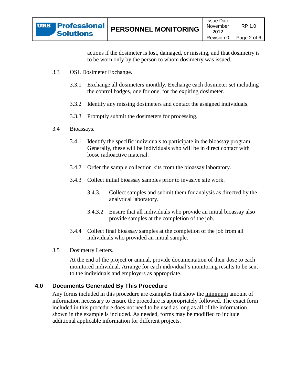actions if the dosimeter is lost, damaged, or missing, and that dosimetry is to be worn only by the person to whom dosimetry was issued.

- 3.3 OSL Dosimeter Exchange.
	- 3.3.1 Exchange all dosimeters monthly. Exchange each dosimeter set including the control badges, one for one, for the expiring dosimeter.
	- 3.3.2 Identify any missing dosimeters and contact the assigned individuals.
	- 3.3.3 Promptly submit the dosimeters for processing.
- 3.4 Bioassays.
	- 3.4.1 Identify the specific individuals to participate in the bioassay program. Generally, these will be individuals who will be in direct contact with loose radioactive material.
	- 3.4.2 Order the sample collection kits from the bioassay laboratory.
	- 3.4.3 Collect initial bioassay samples prior to invasive site work.
		- 3.4.3.1 Collect samples and submit them for analysis as directed by the analytical laboratory.
		- 3.4.3.2 Ensure that all individuals who provide an initial bioassay also provide samples at the completion of the job.
	- 3.4.4 Collect final bioassay samples at the completion of the job from all individuals who provided an initial sample.
- 3.5 Dosimetry Letters.

At the end of the project or annual, provide documentation of their dose to each monitored individual. Arrange for each individual's monitoring results to be sent to the individuals and employers as appropriate.

### **4.0 Documents Generated By This Procedure**

Any forms included in this procedure are examples that show the minimum amount of information necessary to ensure the procedure is appropriately followed. The exact form included in this procedure does not need to be used as long as all of the information shown in the example is included. As needed, forms may be modified to include additional applicable information for different projects.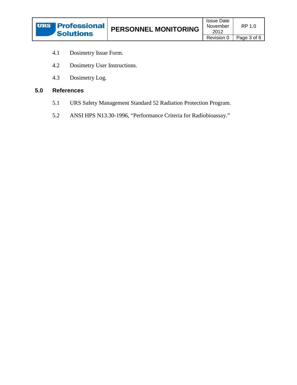

- 4.1 Dosimetry Issue Form.
- 4.2 Dosimetry User Instructions.
- 4.3 Dosimetry Log.

### **5.0 References**

- 5.1 URS Safety Management Standard 52 Radiation Protection Program.
- 5.2 ANSI HPS N13.30-1996, "Performance Criteria for Radiobioassay."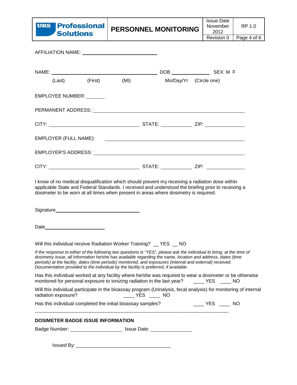

| AFFILIATION NAME: A AMBRE AND THE STATE OF THE STATE OF THE STATE OF THE STATE OF THE STATE OF THE STATE OF TH |                     |                                                                                                                                                                                                                                                                                                                                                                                                                                           |                                                                                                                                                                                                                                                                                                                     |  |
|----------------------------------------------------------------------------------------------------------------|---------------------|-------------------------------------------------------------------------------------------------------------------------------------------------------------------------------------------------------------------------------------------------------------------------------------------------------------------------------------------------------------------------------------------------------------------------------------------|---------------------------------------------------------------------------------------------------------------------------------------------------------------------------------------------------------------------------------------------------------------------------------------------------------------------|--|
|                                                                                                                |                     |                                                                                                                                                                                                                                                                                                                                                                                                                                           |                                                                                                                                                                                                                                                                                                                     |  |
|                                                                                                                | (Last) (First) (MI) | Mo/Day/Yr (Circle one)                                                                                                                                                                                                                                                                                                                                                                                                                    |                                                                                                                                                                                                                                                                                                                     |  |
| EMPLOYEE NUMBER: U                                                                                             |                     |                                                                                                                                                                                                                                                                                                                                                                                                                                           |                                                                                                                                                                                                                                                                                                                     |  |
|                                                                                                                |                     |                                                                                                                                                                                                                                                                                                                                                                                                                                           |                                                                                                                                                                                                                                                                                                                     |  |
|                                                                                                                |                     |                                                                                                                                                                                                                                                                                                                                                                                                                                           |                                                                                                                                                                                                                                                                                                                     |  |
|                                                                                                                |                     |                                                                                                                                                                                                                                                                                                                                                                                                                                           |                                                                                                                                                                                                                                                                                                                     |  |
|                                                                                                                |                     |                                                                                                                                                                                                                                                                                                                                                                                                                                           |                                                                                                                                                                                                                                                                                                                     |  |
|                                                                                                                |                     |                                                                                                                                                                                                                                                                                                                                                                                                                                           |                                                                                                                                                                                                                                                                                                                     |  |
|                                                                                                                |                     | dosimeter to be worn at all times when present in areas where dosimetry is required.                                                                                                                                                                                                                                                                                                                                                      |                                                                                                                                                                                                                                                                                                                     |  |
|                                                                                                                |                     |                                                                                                                                                                                                                                                                                                                                                                                                                                           |                                                                                                                                                                                                                                                                                                                     |  |
|                                                                                                                |                     | Will this individual receive Radiation Worker Training? __ YES __ NO                                                                                                                                                                                                                                                                                                                                                                      |                                                                                                                                                                                                                                                                                                                     |  |
|                                                                                                                |                     | If the response to either of the following two questions is "YES", please ask the individual to bring, at the time of<br>dosimetry issue, all information he/she has available regarding the name, location and address, dates (time<br>periods) at the facility, dates (time periods) monitored, and exposures (internal and external) received.<br>Documentation provided to the individual by the facility is preferred, if available. |                                                                                                                                                                                                                                                                                                                     |  |
|                                                                                                                |                     | Has this individual worked at any facility where he/she was required to wear a dosimeter or be otherwise<br>monitored for personal exposure to ionizing radiation in the last year? _____ YES _____ NO                                                                                                                                                                                                                                    |                                                                                                                                                                                                                                                                                                                     |  |
| radiation exposure?                                                                                            |                     | Will this individual participate in the bioassay program (Urinalysis, fecal analysis) for monitoring of internal                                                                                                                                                                                                                                                                                                                          |                                                                                                                                                                                                                                                                                                                     |  |
| Has this individual completed the initial bioassay samples?                                                    |                     |                                                                                                                                                                                                                                                                                                                                                                                                                                           | $\frac{1}{2}$ $\frac{1}{2}$ $\frac{1}{2}$ $\frac{1}{2}$ $\frac{1}{2}$ $\frac{1}{2}$ $\frac{1}{2}$ $\frac{1}{2}$ $\frac{1}{2}$ $\frac{1}{2}$ $\frac{1}{2}$ $\frac{1}{2}$ $\frac{1}{2}$ $\frac{1}{2}$ $\frac{1}{2}$ $\frac{1}{2}$ $\frac{1}{2}$ $\frac{1}{2}$ $\frac{1}{2}$ $\frac{1}{2}$ $\frac{1}{2}$ $\frac{1}{2}$ |  |
| <b>DOSIMETER BADGE ISSUE INFORMATION</b>                                                                       |                     |                                                                                                                                                                                                                                                                                                                                                                                                                                           |                                                                                                                                                                                                                                                                                                                     |  |
|                                                                                                                |                     | Badge Number: ____________________________ Issue Date: _________________________                                                                                                                                                                                                                                                                                                                                                          |                                                                                                                                                                                                                                                                                                                     |  |

Issued By: \_\_\_\_\_\_\_\_\_\_\_\_\_\_\_\_\_\_\_\_\_\_\_\_\_\_\_\_\_\_\_\_\_\_\_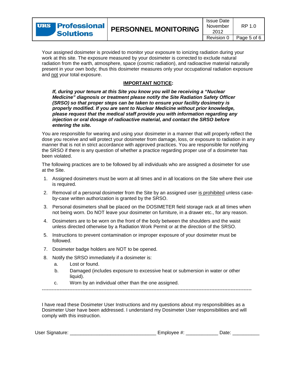Your assigned dosimeter is provided to monitor your exposure to ionizing radiation during your work at this site. The exposure measured by your dosimeter is corrected to exclude natural radiation from the earth, atmosphere, space (cosmic radiation), and radioactive material naturally present in your own body; thus this dosimeter measures only your occupational radiation exposure and not your total exposure.

#### **IMPORTANT NOTICE :**

*If, during your tenure at this Site you know you will be receiving a "Nuclear Medicine" diagnosis or treatment please notify the Site Radiation Safety Officer (SRSO) so that proper steps can be taken to ensure your facility dosimetry is properly modified. If you are sent to Nuclear Medicine without prior knowledge, please request that the medical staff provide you with information regarding any injection or oral dosage of radioactive material, and contact the SRSO before entering the site.* 

You are responsible for wearing and using your dosimeter in a manner that will properly reflect the dose you receive and will protect your dosimeter from damage, loss, or exposure to radiation in any manner that is not in strict accordance with approved practices. You are responsible for notifying the SRSO if there is any question of whether a practice regarding proper use of a dosimeter has been violated.

The following practices are to be followed by all individuals who are assigned a dosimeter for use at the Site.

- 1. Assigned dosimeters must be worn at all times and in all locations on the Site where their use is required.
- 2. Removal of a personal dosimeter from the Site by an assigned user <u>is prohibited</u> unless caseby-case written authorization is granted by the SRSO.
- 3. Personal dosimeters shall be placed on the DOSIMETER field storage rack at all times when not being worn. Do NOT leave your dosimeter on furniture, in a drawer etc., for any reason.
- 4. Dosimeters are to be worn on the front of the body between the shoulders and the waist unless directed otherwise by a Radiation Work Permit or at the direction of the SRSO.
- 5. Instructions to prevent contamination or improper exposure of your dosimeter must be followed.
- 7. Dosimeter badge holders are NOT to be opened.
- 8. Notify the SRSO immediately if a dosimeter is:
	- a. Lost or found.
	- b. Damaged (includes exposure to excessive heat or submersion in water or other liquid).
	- c. Worn by an individual other than the one assigned.

----------------------------------------------------------------------------------------------------------------------------------

I have read these Dosimeter User Instructions and my questions about my responsibilities as a Dosimeter User have been addressed. I understand my Dosimeter User responsibilities and will comply with this instruction.

| User Signature: | ·mpiovee |  |
|-----------------|----------|--|
|-----------------|----------|--|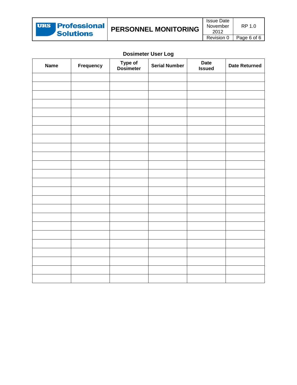| <b>URS Professional</b><br><b>Solutions</b> | <b>PERSONNEL MONITORING</b> | <b>Issue Date</b><br>November<br>2012 | RP 1 0      |
|---------------------------------------------|-----------------------------|---------------------------------------|-------------|
|                                             |                             | Revision 0                            | Page 6 of 6 |

### **Dosimeter User Log**

| <b>Name</b> | Frequency | Type of<br>Dosimeter | <b>Serial Number</b> | <b>Date</b><br><b>Issued</b> | <b>Date Returned</b> |
|-------------|-----------|----------------------|----------------------|------------------------------|----------------------|
|             |           |                      |                      |                              |                      |
|             |           |                      |                      |                              |                      |
|             |           |                      |                      |                              |                      |
|             |           |                      |                      |                              |                      |
|             |           |                      |                      |                              |                      |
|             |           |                      |                      |                              |                      |
|             |           |                      |                      |                              |                      |
|             |           |                      |                      |                              |                      |
|             |           |                      |                      |                              |                      |
|             |           |                      |                      |                              |                      |
|             |           |                      |                      |                              |                      |
|             |           |                      |                      |                              |                      |
|             |           |                      |                      |                              |                      |
|             |           |                      |                      |                              |                      |
|             |           |                      |                      |                              |                      |
|             |           |                      |                      |                              |                      |
|             |           |                      |                      |                              |                      |
|             |           |                      |                      |                              |                      |
|             |           |                      |                      |                              |                      |
|             |           |                      |                      |                              |                      |
|             |           |                      |                      |                              |                      |
|             |           |                      |                      |                              |                      |
|             |           |                      |                      |                              |                      |
|             |           |                      |                      |                              |                      |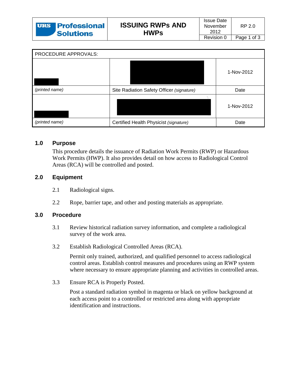| <b>URS Professional</b><br><b>Solutions</b> | <b>ISSUING RWPS AND</b><br><b>HWPs</b> | Issue Date<br>November<br>2012 | RP 20       |
|---------------------------------------------|----------------------------------------|--------------------------------|-------------|
|                                             |                                        | Revision 0                     | Page 1 of 3 |

| PROCEDURE APPROVALS: |                                           |            |
|----------------------|-------------------------------------------|------------|
|                      |                                           | 1-Nov-2012 |
| (printed name)       | Site Radiation Safety Officer (signature) | Date       |
|                      |                                           | 1-Nov-2012 |
| (printed name)       | Certified Health Physicist (signature)    | Date       |

#### **1.0 Purpose**

This procedure details the issuance of Radiation Work Permits (RWP) or Hazardous Work Permits (HWP). It also provides detail on how access to Radiological Control Areas (RCA) will be controlled and posted.

### **2.0 Equipment**

- 2.1 Radiological signs.
- 2.2 Rope, barrier tape, and other and posting materials as appropriate.

### **3.0 Procedure**

- 3.1 Review historical radiation survey information, and complete a radiological survey of the work area.
- 3.2 Establish Radiological Controlled Areas (RCA).

Permit only trained, authorized, and qualified personnel to access radiological control areas. Establish control measures and procedures using an RWP system where necessary to ensure appropriate planning and activities in controlled areas.

3.3 Ensure RCA is Properly Posted.

Post a standard radiation symbol in magenta or black on yellow background at each access point to a controlled or restricted area along with appropriate identification and instructions.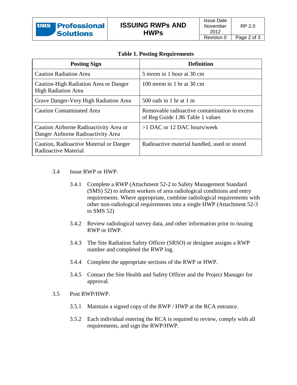| <b>Posting Sign</b>                                                          | <b>Definition</b>                                                                 |
|------------------------------------------------------------------------------|-----------------------------------------------------------------------------------|
| <b>Caution Radiation Area</b>                                                | 5 mrem in 1 hour at 30 cm                                                         |
| Caution-High Radiation Area or Danger<br><b>High Radiation Area</b>          | 100 mrem in 1 hr at 30 cm                                                         |
| Grave Danger-Very High Radiation Area                                        | $500$ rads in 1 hr at 1 m                                                         |
| <b>Caution Contaminated Area</b>                                             | Removable radioactive contamination in excess<br>of Reg Guide 1.86 Table 1 values |
| Caution Airborne Radioactivity Area or<br>Danger Airborne Radioactivity Area | $>1$ DAC or 12 DAC hours/week                                                     |
| Caution, Radioactive Material or Danger<br>Radioactive Material              | Radioactive material handled, used or stored                                      |

- 3.4 Issue RWP or HWP.
	- 3.4.1 Complete a RWP (Attachment 52-2 to Safety Management Standard (SMS) 52) to inform workers of area radiological conditions and entry requirements. Where appropriate, combine radiological requirements with other non-radiological requirements into a single HWP (Attachment 52-3 to SMS 52)
	- 3.4.2 Review radiological survey data, and other information prior to issuing RWP or HWP.
	- 3.4.3 The Site Radiation Safety Officer (SRSO) or designee assigns a RWP number and completed the RWP log.
	- 3.4.4 Complete the appropriate sections of the RWP or HWP.
	- 3.4.5 Contact the Site Health and Safety Officer and the Project Manager for approval.
- 3.5 Post RWP/HWP.
	- 3.5.1 Maintain a signed copy of the RWP / HWP at the RCA entrance.
	- 3.5.2 Each individual entering the RCA is required to review, comply with all requirements, and sign the RWP/HWP.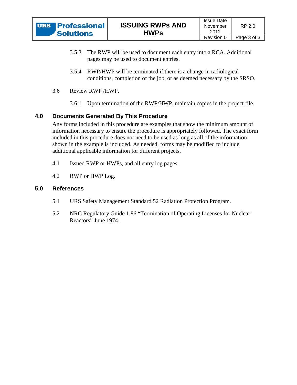- 3.5.3 The RWP will be used to document each entry into a RCA. Additional pages may be used to document entries.
- 3.5.4 RWP/HWP will be terminated if there is a change in radiological conditions, completion of the job, or as deemed necessary by the SRSO.
- 3.6 Review RWP /HWP.
	- 3.6.1 Upon termination of the RWP/HWP, maintain copies in the project file.

### **4.0 Documents Generated By This Procedure**

Any forms included in this procedure are examples that show the minimum amount of information necessary to ensure the procedure is appropriately followed. The exact form included in this procedure does not need to be used as long as all of the information shown in the example is included. As needed, forms may be modified to include additional applicable information for different projects.

- 4.1 Issued RWP or HWPs, and all entry log pages.
- 4.2 RWP or HWP Log.

### **5.0 References**

- 5.1 URS Safety Management Standard 52 Radiation Protection Program.
- 5.2 NRC Regulatory Guide 1.86 "Termination of Operating Licenses for Nuclear Reactors" June 1974.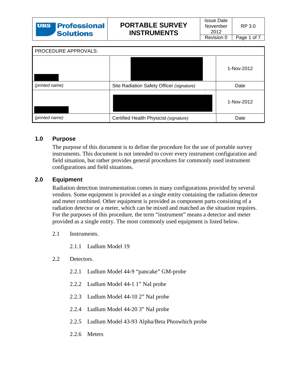| PROCEDURE APPROVALS: |                                           |            |
|----------------------|-------------------------------------------|------------|
|                      |                                           | 1-Nov-2012 |
| (printed name)       | Site Radiation Safety Officer (signature) | Date       |
|                      |                                           | 1-Nov-2012 |
| (printed name)       | Certified Health Physicist (signature)    | Date       |

### **1.0 Purpose**

The purpose of this document is to define the procedure for the use of portable survey instruments. This document is not intended to cover every instrument configuration and field situation, but rather provides general procedures for commonly used instrument configurations and field situations.

### **2.0 Equipment**

Radiation detection instrumentation comes in many configurations provided by several vendors. Some equipment is provided as a single entity containing the radiation detector and meter combined. Other equipment is provided as component parts consisting of a radiation detector or a meter, which can be mixed and matched as the situation requires. For the purposes of this procedure, the term "instrument" means a detector and meter provided as a single entity. The most commonly used equipment is listed below.

- 2.1 Instruments.
	- 2.1.1 Ludlum Model 19
- 2.2 Detectors.
	- 2.2.1 Ludlum Model 44-9 "pancake" GM-probe
	- 2.2.2 Ludlum Model 44-1 1" NaI probe
	- 2.2.3 Ludlum Model 44-10 2" NaI probe
	- 2.2.4 Ludlum Model 44-20 3" NaI probe
	- 2.2.5 Ludlum Model 43-93 Alpha/Beta Phoswhich probe
	- 2.2.6 Meters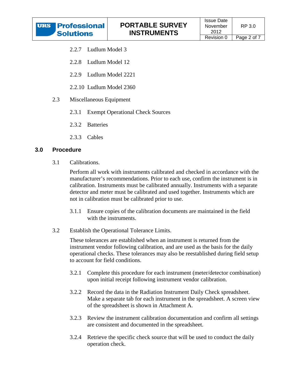- 2.2.7 Ludlum Model 3
- 2.2.8 Ludlum Model 12
- 2.2.9 Ludlum Model 2221
- 2.2.10 Ludlum Model 2360
- 2.3 Miscellaneous Equipment
	- 2.3.1 Exempt Operational Check Sources
	- 2.3.2 Batteries
	- 2.3.3 Cables

#### **3.0 Procedure**

3.1 Calibrations.

Perform all work with instruments calibrated and checked in accordance with the manufacturer's recommendations. Prior to each use, confirm the instrument is in calibration. Instruments must be calibrated annually. Instruments with a separate detector and meter must be calibrated and used together. Instruments which are not in calibration must be calibrated prior to use.

- 3.1.1 Ensure copies of the calibration documents are maintained in the field with the instruments.
- 3.2 Establish the Operational Tolerance Limits.

These tolerances are established when an instrument is returned from the instrument vendor following calibration, and are used as the basis for the daily operational checks. These tolerances may also be reestablished during field setup to account for field conditions.

- 3.2.1 Complete this procedure for each instrument (meter/detector combination) upon initial receipt following instrument vendor calibration.
- 3.2.2 Record the data in the Radiation Instrument Daily Check spreadsheet. Make a separate tab for each instrument in the spreadsheet. A screen view of the spreadsheet is shown in Attachment A.
- 3.2.3 Review the instrument calibration documentation and confirm all settings are consistent and documented in the spreadsheet.
- 3.2.4 Retrieve the specific check source that will be used to conduct the daily operation check.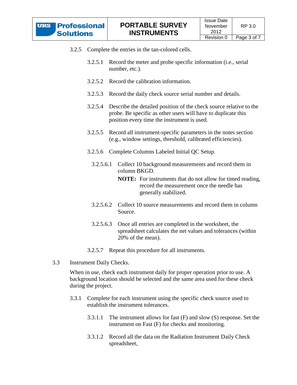- 3.2.5 Complete the entries in the tan-colored cells.
	- 3.2.5.1 Record the meter and probe specific information (i.e., serial number, etc.).
	- 3.2.5.2 Record the calibration information.
	- 3.2.5.3 Record the daily check source serial number and details.
	- 3.2.5.4 Describe the detailed position of the check source relative to the probe. Be specific as other users will have to duplicate this position every time the instrument is used.
	- 3.2.5.5 Record all instrument-specific parameters in the notes section (e.g., window settings, threshold, calibrated efficiencies).
	- 3.2.5.6 Complete Columns Labeled Initial QC Setup.
		- 3.2.5.6.1 Collect 10 background measurements and record them in column BKGD.
			- **NOTE:** For instruments that do not allow for timed reading, record the measurement once the needle has generally stabilized.
		- 3.2.5.6.2 Collect 10 source measurements and record them in column Source.
		- 3.2.5.6.3 Once all entries are completed in the worksheet, the spreadsheet calculates the net values and tolerances (within 20% of the mean).
	- 3.2.5.7 Repeat this procedure for all instruments.
- 3.3 Instrument Daily Checks.

When in use, check each instrument daily for proper operation prior to use. A background location should be selected and the same area used for these check during the project.

- 3.3.1 Complete for each instrument using the specific check source used to establish the instrument tolerances.
	- 3.3.1.1 The instrument allows for fast (F) and slow (S) response. Set the instrument on Fast (F) for checks and monitoring.
	- 3.3.1.2 Record all the data on the Radiation Instrument Daily Check spreadsheet,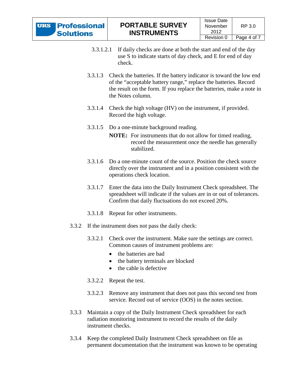- 3.3.1.2.1 If daily checks are done at both the start and end of the day use S to indicate starts of day check, and E for end of day check.
- 3.3.1.3 Check the batteries. If the battery indicator is toward the low end of the "acceptable battery range," replace the batteries. Record the result on the form. If you replace the batteries, make a note in the Notes column.
- 3.3.1.4 Check the high voltage (HV) on the instrument, if provided. Record the high voltage.
- 3.3.1.5 Do a one-minute background reading.
	- **NOTE:** For instruments that do not allow for timed reading, record the measurement once the needle has generally stabilized.
- 3.3.1.6 Do a one-minute count of the source. Position the check source directly over the instrument and in a position consistent with the operations check location.
- 3.3.1.7 Enter the data into the Daily Instrument Check spreadsheet. The spreadsheet will indicate if the values are in or out of tolerances. Confirm that daily fluctuations do not exceed 20%.
- 3.3.1.8 Repeat for other instruments.
- 3.3.2 If the instrument does not pass the daily check:
	- 3.3.2.1 Check over the instrument. Make sure the settings are correct. Common causes of instrument problems are:
		- the batteries are bad
		- the battery terminals are blocked
		- the cable is defective
	- 3.3.2.2 Repeat the test.
	- 3.3.2.3 Remove any instrument that does not pass this second test from service. Record out of service (OOS) in the notes section.
- 3.3.3 Maintain a copy of the Daily Instrument Check spreadsheet for each radiation monitoring instrument to record the results of the daily instrument checks.
- 3.3.4 Keep the completed Daily Instrument Check spreadsheet on file as permanent documentation that the instrument was known to be operating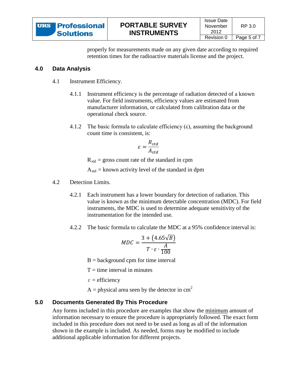properly for measurements made on any given date according to required retention times for the radioactive materials license and the project.

### **4.0 Data Analysis**

- 4.1 Instrument Efficiency.
	- 4.1.1 Instrument efficiency is the percentage of radiation detected of a known value. For field instruments, efficiency values are estimated from manufacturer information, or calculated from calibration data or the operational check source.
	- 4.1.2 The basic formula to calculate efficiency  $(\epsilon)$ , assuming the background count time is consistent, is:

$$
\varepsilon = \frac{R_{std}}{A_{std}}
$$

 $R_{std}$  = gross count rate of the standard in cpm

 $A_{std}$  = known activity level of the standard in dpm

- 4.2 Detection Limits.
	- 4.2.1 Each instrument has a lower boundary for detection of radiation. This value is known as the minimum detectable concentration (MDC). For field instruments, the MDC is used to determine adequate sensitivity of the instrumentation for the intended use.
	- 4.2.2 The basic formula to calculate the MDC at a 95% confidence interval is:

$$
MDC = \frac{3 + (4.65\sqrt{B})}{T \cdot \varepsilon \cdot \frac{A}{100}}
$$

 $B =$  background cpm for time interval

 $T =$  time interval in minutes

ε = efficiency

A = physical area seen by the detector in  $cm<sup>2</sup>$ 

### **5.0 Documents Generated By This Procedure**

Any forms included in this procedure are examples that show the minimum amount of information necessary to ensure the procedure is appropriately followed. The exact form included in this procedure does not need to be used as long as all of the information shown in the example is included. As needed, forms may be modified to include additional applicable information for different projects.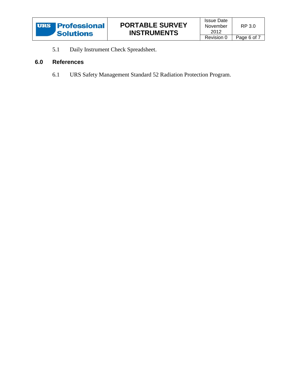

5.1 Daily Instrument Check Spreadsheet.

### **6.0 References**

6.1 URS Safety Management Standard 52 Radiation Protection Program.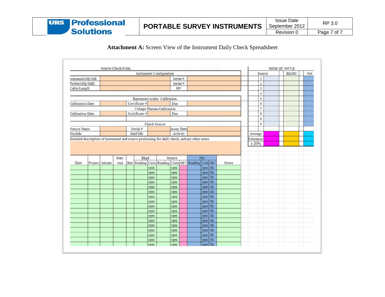

### **Attachment A:** Screen View of the Instrument Daily Check Spreadsheet

|                         |                                                                                                |                              | Instrument Configuration |  |               |     |                             |                   |  |                                                       |                  |   | Source |                | <b>BKDG</b> | Net |  |
|-------------------------|------------------------------------------------------------------------------------------------|------------------------------|--------------------------|--|---------------|-----|-----------------------------|-------------------|--|-------------------------------------------------------|------------------|---|--------|----------------|-------------|-----|--|
| Instrument(Mfg/Mdl)     |                                                                                                |                              |                          |  |               |     |                             | Serial#           |  |                                                       |                  |   |        | 1              |             |     |  |
| Probe(Mfg/Mdl)          |                                                                                                |                              |                          |  |               |     |                             | Serial #          |  |                                                       |                  |   |        | $\mathbf 2$    |             |     |  |
| Cable Length            |                                                                                                |                              |                          |  |               | HV  |                             |                   |  |                                                       |                  | 3 |        |                |             |     |  |
|                         |                                                                                                |                              |                          |  |               |     |                             |                   |  |                                                       |                  |   |        |                |             |     |  |
|                         |                                                                                                |                              |                          |  |               |     |                             |                   |  |                                                       |                  |   |        | $\overline{4}$ |             |     |  |
|                         |                                                                                                | Ratemeter/scaler Calibration |                          |  |               |     |                             |                   |  |                                                       |                  | 5 |        |                |             |     |  |
| <b>Calibration Date</b> |                                                                                                |                              |                          |  | Certificate # |     |                             | Due               |  |                                                       |                  |   |        | 6              |             |     |  |
|                         |                                                                                                |                              |                          |  |               |     | Voltage Plateau Calibration |                   |  |                                                       |                  |   |        | $\overline{7}$ |             |     |  |
| <b>Calibration Date</b> |                                                                                                |                              |                          |  | Certificate # |     |                             | Due               |  |                                                       |                  |   |        | 8              |             |     |  |
|                         |                                                                                                |                              |                          |  |               |     |                             |                   |  |                                                       |                  |   |        | 9              |             |     |  |
|                         |                                                                                                |                              |                          |  |               |     | Check Source                |                   |  |                                                       |                  |   |        | #              |             |     |  |
| Source Name             |                                                                                                |                              |                          |  | Serial #      |     |                             | <b>Assay Date</b> |  |                                                       |                  |   |        |                |             |     |  |
| Nuclide                 |                                                                                                |                              |                          |  | Half life     |     |                             | Activity          |  |                                                       |                  |   |        | Average        |             |     |  |
|                         | Detailed description of instrument and source positioning for daily check, and any other notes |                              |                          |  |               |     |                             |                   |  |                                                       |                  |   |        | Tolerance      |             |     |  |
|                         |                                                                                                |                              |                          |  |               |     |                             |                   |  |                                                       |                  |   |        |                |             |     |  |
|                         |                                                                                                |                              | Start                    |  | Bkgd          |     |                             | Source            |  |                                                       |                  |   |        |                |             |     |  |
| Date                    |                                                                                                |                              | /end                     |  |               |     |                             |                   |  |                                                       | Net              |   | Notes  |                |             |     |  |
|                         |                                                                                                | Project Initials             |                          |  |               | cpm |                             | cpm               |  | Batt Reading Units Reading Units Ok? Reading Unit Ok? | cpm Ok           |   |        |                |             |     |  |
|                         |                                                                                                |                              |                          |  |               | cpm |                             | cpm               |  |                                                       |                  |   |        |                |             |     |  |
|                         |                                                                                                |                              |                          |  |               | cpm |                             | cpm               |  |                                                       | cpm Ok<br>cpm Ok |   |        |                |             |     |  |
|                         |                                                                                                |                              |                          |  |               | cpm |                             | cpm               |  |                                                       | cpm Ok           |   |        |                |             |     |  |
|                         |                                                                                                |                              |                          |  |               | cpm |                             | cpm               |  |                                                       | cpm Ok           |   |        |                |             |     |  |
|                         |                                                                                                |                              |                          |  |               | cpm |                             | cpm               |  |                                                       | cpm Ok           |   |        |                |             |     |  |
|                         |                                                                                                |                              |                          |  |               | cpm |                             | cpm               |  |                                                       | cpm Ok           |   |        |                |             |     |  |
|                         |                                                                                                |                              |                          |  |               | cpm |                             | cpm               |  |                                                       | cpm Ok           |   |        |                |             |     |  |
|                         |                                                                                                |                              |                          |  |               | cpm |                             | cpm               |  |                                                       | cpm Ok           |   |        |                |             |     |  |
|                         |                                                                                                |                              |                          |  |               | cpm |                             | cpm               |  |                                                       | cpm Ok           |   |        |                |             |     |  |
|                         |                                                                                                |                              |                          |  |               | cpm |                             | cpm               |  |                                                       | cpm Ok           |   |        |                |             |     |  |
|                         |                                                                                                |                              |                          |  |               | cpm |                             | cpm               |  |                                                       | cpm Ok           |   |        |                |             |     |  |
|                         |                                                                                                |                              |                          |  |               | cpm |                             | cpm               |  |                                                       | cpm Ok           |   |        |                |             |     |  |
|                         |                                                                                                |                              |                          |  |               | cpm |                             | cpm               |  |                                                       | cpm Ok           |   |        |                |             |     |  |
|                         |                                                                                                |                              |                          |  |               | cpm |                             | cpm               |  |                                                       | cpm Ok           |   |        |                |             |     |  |
|                         |                                                                                                |                              |                          |  |               | cpm |                             | cpm               |  |                                                       | cpm Ok           |   |        |                |             |     |  |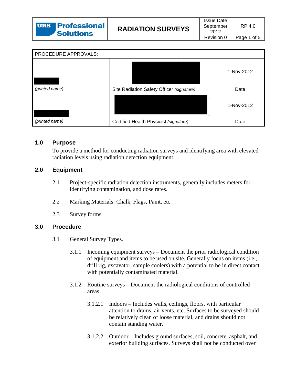| PROCEDURE APPROVALS: |                                           |            |
|----------------------|-------------------------------------------|------------|
|                      |                                           | 1-Nov-2012 |
| (printed name)       | Site Radiation Safety Officer (signature) | Date       |
|                      |                                           | 1-Nov-2012 |
| (printed name)       | Certified Health Physicist (signature)    | Date       |

### **1.0 Purpose**

To provide a method for conducting radiation surveys and identifying area with elevated radiation levels using radiation detection equipment.

### **2.0 Equipment**

- 2.1 Project-specific radiation detection instruments, generally includes meters for identifying contamination, and dose rates.
- 2.2 Marking Materials: Chalk, Flags, Paint, etc.
- 2.3 Survey forms.

### **3.0 Procedure**

- 3.1 General Survey Types.
	- 3.1.1 Incoming equipment surveys Document the prior radiological condition of equipment and items to be used on site. Generally focus on items (i.e., drill rig, excavator, sample coolers) with a potential to be in direct contact with potentially contaminated material.
	- 3.1.2 Routine surveys Document the radiological conditions of controlled areas.
		- 3.1.2.1 Indoors Includes walls, ceilings, floors, with particular attention to drains, air vents, etc. Surfaces to be surveyed should be relatively clean of loose material, and drains should not contain standing water.
		- 3.1.2.2 Outdoor Includes ground surfaces, soil, concrete, asphalt, and exterior building surfaces. Surveys shall not be conducted over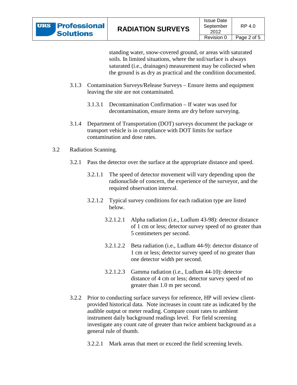standing water, snow-covered ground, or areas with saturated soils. In limited situations, where the soil/surface is always saturated (i.e., drainages) measurement may be collected when the ground is as dry as practical and the condition documented.

- 3.1.3 Contamination Surveys/Release Surveys Ensure items and equipment leaving the site are not contaminated.
	- 3.1.3.1 Decontamination Confirmation If water was used for decontamination, ensure items are dry before surveying.
- 3.1.4 Department of Transportation (DOT) surveys document the package or transport vehicle is in compliance with DOT limits for surface contamination and dose rates.
- 3.2 Radiation Scanning.
	- 3.2.1 Pass the detector over the surface at the appropriate distance and speed.
		- 3.2.1.1 The speed of detector movement will vary depending upon the radionuclide of concern, the experience of the surveyor, and the required observation interval.
		- 3.2.1.2 Typical survey conditions for each radiation type are listed below.
			- 3.2.1.2.1 Alpha radiation (i.e., Ludlum 43-98): detector distance of 1 cm or less; detector survey speed of no greater than 5 centimeters per second.
			- 3.2.1.2.2 Beta radiation (i.e., Ludlum 44-9): detector distance of 1 cm or less; detector survey speed of no greater than one detector width per second.
			- 3.2.1.2.3 Gamma radiation (i.e., Ludlum 44-10): detector distance of 4 cm or less; detector survey speed of no greater than 1.0 m per second.
	- 3.2.2 Prior to conducting surface surveys for reference, HP will review clientprovided historical data. Note increases in count rate as indicated by the audible output or meter reading. Compare count rates to ambient instrument daily background readings level. For field screening investigate any count rate of greater than twice ambient background as a general rule of thumb.
		- 3.2.2.1 Mark areas that meet or exceed the field screening levels.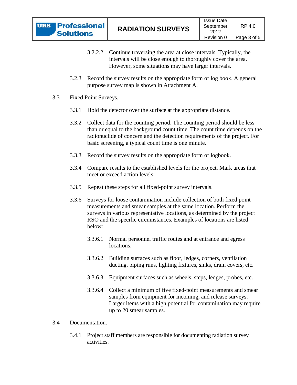- 3.2.2.2 Continue traversing the area at close intervals. Typically, the intervals will be close enough to thoroughly cover the area. However, some situations may have larger intervals.
- 3.2.3 Record the survey results on the appropriate form or log book. A general purpose survey map is shown in Attachment A.
- 3.3 Fixed Point Surveys.
	- 3.3.1 Hold the detector over the surface at the appropriate distance.
	- 3.3.2 Collect data for the counting period. The counting period should be less than or equal to the background count time. The count time depends on the radionuclide of concern and the detection requirements of the project. For basic screening, a typical count time is one minute.
	- 3.3.3 Record the survey results on the appropriate form or logbook.
	- 3.3.4 Compare results to the established levels for the project. Mark areas that meet or exceed action levels.
	- 3.3.5 Repeat these steps for all fixed-point survey intervals.
	- 3.3.6 Surveys for loose contamination include collection of both fixed point measurements and smear samples at the same location. Perform the surveys in various representative locations, as determined by the project RSO and the specific circumstances. Examples of locations are listed below:
		- 3.3.6.1 Normal personnel traffic routes and at entrance and egress locations.
		- 3.3.6.2 Building surfaces such as floor, ledges, corners, ventilation ducting, piping runs, lighting fixtures, sinks, drain covers, etc.
		- 3.3.6.3 Equipment surfaces such as wheels, steps, ledges, probes, etc.
		- 3.3.6.4 Collect a minimum of five fixed-point measurements and smear samples from equipment for incoming, and release surveys. Larger items with a high potential for contamination may require up to 20 smear samples.
- 3.4 Documentation.
	- 3.4.1 Project staff members are responsible for documenting radiation survey activities.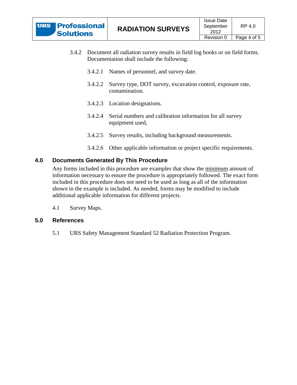| <b>URS Professional</b> |
|-------------------------|
| <b>Solutions</b>        |

- 3.4.2 Document all radiation survey results in field log books or on field forms. Documentation shall include the following:
	- 3.4.2.1 Names of personnel, and survey date.
	- 3.4.2.2 Survey type, DOT survey, excavation control, exposure rate, contamination.
	- 3.4.2.3 Location designations.
	- 3.4.2.4 Serial numbers and calibration information for all survey equipment used,
	- 3.4.2.5 Survey results, including background measurements.
	- 3.4.2.6 Other applicable information or project specific requirements.

#### **4.0 Documents Generated By This Procedure**

Any forms included in this procedure are examples that show the minimum amount of information necessary to ensure the procedure is appropriately followed. The exact form included in this procedure does not need to be used as long as all of the information shown in the example is included. As needed, forms may be modified to include additional applicable information for different projects.

4.1 Survey Maps.

#### **5.0 References**

5.1 URS Safety Management Standard 52 Radiation Protection Program.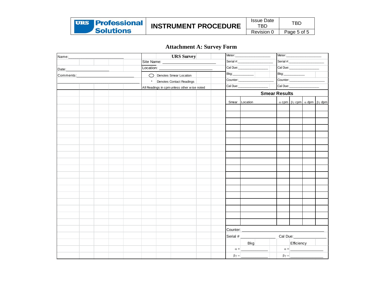| <b>URS Professional</b> | <b>INSTRUMENT PROCEDURE</b> | <b>Issue Date</b><br>TBD | TBD         |
|-------------------------|-----------------------------|--------------------------|-------------|
| <b>Solutions</b>        |                             | Revision v               | Page 5 of 5 |

# **Attachment A: Survey Form**

| Name:_____                       |           |                          | <b>URS</b> Survey                           | Meter:           |                   | Meter:               |                                                               |  |  |
|----------------------------------|-----------|--------------------------|---------------------------------------------|------------------|-------------------|----------------------|---------------------------------------------------------------|--|--|
|                                  |           |                          | Site Name: ___________                      |                  |                   |                      |                                                               |  |  |
| Date: __________________________ | Location: |                          |                                             |                  | Cal Due:          |                      |                                                               |  |  |
| Comments:_______________         |           | O Denotes Smear Location |                                             | Bkg:             |                   |                      | Bkg:                                                          |  |  |
|                                  |           |                          | * Denotes Contact Readings                  |                  |                   |                      | Counter:                                                      |  |  |
|                                  |           |                          | All Readings in cpm unless other wise noted |                  | Cal Due: Cal Due: | Cal Due:             |                                                               |  |  |
|                                  |           |                          |                                             |                  |                   | <b>Smear Results</b> |                                                               |  |  |
|                                  |           |                          |                                             |                  | Smear Location    |                      | $\alpha$ cpm $\beta\gamma$ cpm $\alpha$ dpm $\beta\gamma$ dpm |  |  |
|                                  |           |                          |                                             |                  |                   |                      |                                                               |  |  |
|                                  |           |                          |                                             |                  |                   |                      |                                                               |  |  |
|                                  |           |                          |                                             |                  |                   |                      |                                                               |  |  |
|                                  |           |                          |                                             |                  |                   |                      |                                                               |  |  |
|                                  |           |                          |                                             |                  |                   |                      |                                                               |  |  |
|                                  |           |                          |                                             |                  |                   |                      |                                                               |  |  |
|                                  |           |                          |                                             |                  |                   |                      |                                                               |  |  |
|                                  |           |                          |                                             |                  |                   |                      |                                                               |  |  |
|                                  |           |                          |                                             |                  |                   |                      |                                                               |  |  |
|                                  |           |                          |                                             |                  |                   |                      |                                                               |  |  |
|                                  |           |                          |                                             |                  |                   |                      |                                                               |  |  |
|                                  |           |                          |                                             |                  |                   |                      |                                                               |  |  |
|                                  |           |                          |                                             |                  |                   |                      |                                                               |  |  |
|                                  |           |                          |                                             |                  |                   |                      |                                                               |  |  |
|                                  |           |                          |                                             |                  |                   |                      |                                                               |  |  |
|                                  |           |                          |                                             |                  |                   |                      |                                                               |  |  |
|                                  |           |                          |                                             |                  |                   |                      |                                                               |  |  |
|                                  |           |                          |                                             |                  |                   |                      |                                                               |  |  |
|                                  |           |                          |                                             |                  |                   |                      |                                                               |  |  |
|                                  |           |                          |                                             |                  |                   |                      |                                                               |  |  |
|                                  |           |                          |                                             |                  |                   |                      |                                                               |  |  |
|                                  |           |                          |                                             |                  | Serial #          |                      | Cal Due:                                                      |  |  |
|                                  |           |                          |                                             |                  | <b>Bkg</b>        |                      | Efficiency                                                    |  |  |
|                                  |           |                          |                                             |                  | $\alpha =$        |                      | $\alpha =$                                                    |  |  |
|                                  |           |                          |                                             | $\beta \gamma =$ |                   |                      | $\beta \gamma =$                                              |  |  |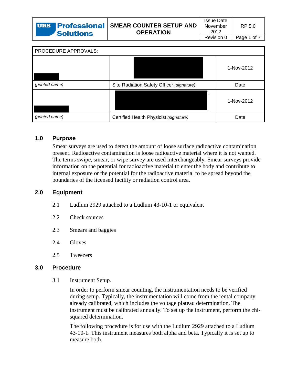| 'Solutions | <b>URS Professional</b> SMEAR COUNTER SETUP AND<br><b>OPERATION</b> | Issue Date<br>November<br>2012 | RP 5.0      |
|------------|---------------------------------------------------------------------|--------------------------------|-------------|
|            |                                                                     | Revision 0                     | Page 1 of 7 |
|            |                                                                     |                                |             |

| PROCEDURE APPROVALS: |                                           |            |
|----------------------|-------------------------------------------|------------|
|                      |                                           | 1-Nov-2012 |
| (printed name)       | Site Radiation Safety Officer (signature) | Date       |
|                      |                                           | 1-Nov-2012 |
| (printed name)       | Certified Health Physicist (signature)    | Date       |

#### **1.0 Purpose**

Smear surveys are used to detect the amount of loose surface radioactive contamination present. Radioactive contamination is loose radioactive material where it is not wanted. The terms swipe, smear, or wipe survey are used interchangeably. Smear surveys provide information on the potential for radioactive material to enter the body and contribute to internal exposure or the potential for the radioactive material to be spread beyond the boundaries of the licensed facility or radiation control area.

#### **2.0 Equipment**

- 2.1 Ludlum 2929 attached to a Ludlum 43-10-1 or equivalent
- 2.2 Check sources
- 2.3 Smears and baggies
- 2.4 Gloves
- 2.5 Tweezers

#### **3.0 Procedure**

3.1 Instrument Setup.

In order to perform smear counting, the instrumentation needs to be verified during setup. Typically, the instrumentation will come from the rental company already calibrated, which includes the voltage plateau determination. The instrument must be calibrated annually. To set up the instrument, perform the chisquared determination.

The following procedure is for use with the Ludlum 2929 attached to a Ludlum 43-10-1. This instrument measures both alpha and beta. Typically it is set up to measure both.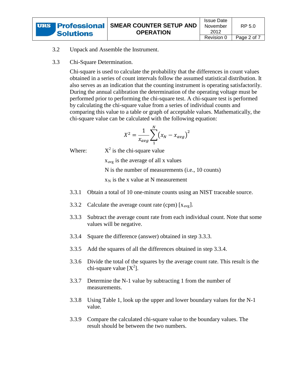

3.2 Unpack and Assemble the Instrument.

#### 3.3 Chi-Square Determination.

Chi-square is used to calculate the probability that the differences in count values obtained in a series of count intervals follow the assumed statistical distribution. It also serves as an indication that the counting instrument is operating satisfactorily. During the annual calibration the determination of the operating voltage must be performed prior to performing the chi-square test. A chi-square test is performed by calculating the chi-square value from a series of individual counts and comparing this value to a table or graph of acceptable values. Mathematically, the chi-square value can be calculated with the following equation:

$$
X^2 = \frac{1}{x_{avg}} \sum_{1}^{N} (x_N - x_{avg})^2
$$

Where:

 $X^2$  is the chi-square value

x avg is the average of all x values N is the number of measurements (i.e., 10 counts)  $x_N$  is the x value at N measurement

- 3.3.1 Obtain a total of 10 one-minute counts using an NIST traceable source.
- 3.3.2 Calculate the average count rate (cpm)  $[x_{avg}]$ .
- <span id="page-50-0"></span>3.3.3 Subtract the average count rate from each individual count. Note that some values will be negative.
- <span id="page-50-1"></span>3.3.4 Square the difference (answer) obtained in step [3.3.3.](#page-50-0)
- 3.3.5 Add the squares of all the differences obtained in step [3.3.4.](#page-50-1)
- 3.3.6 Divide the total of the squares by the average count rate. This result is the chi-square value  $[X^2]$ .
- 3.3.7 Determine the N-1 value by subtracting 1 from the number of measurements.
- 3.3.8 Using [Table 1,](#page-51-0) look up the upper and lower boundary values for the N-1 value.
- 3.3.9 Compare the calculated chi-square value to the boundary values. The result should be between the two numbers.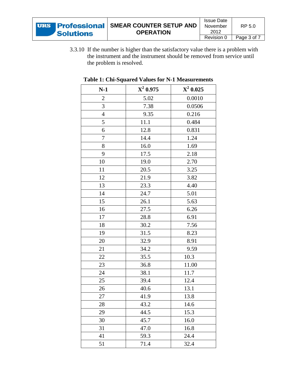3.3.10 If the number is higher than the satisfactory value there is a problem with the instrument and the instrument should be removed from service until the problem is resolved.

| $N-1$          | $X^2$ 0.975 | $X^2$ 0.025 |
|----------------|-------------|-------------|
| $\overline{c}$ | 5.02        | 0.0010      |
| 3              | 7.38        | 0.0506      |
| $\overline{4}$ | 9.35        | 0.216       |
| 5              | 11.1        | 0.484       |
| 6              | 12.8        | 0.831       |
| 7              | 14.4        | 1.24        |
| 8              | 16.0        | 1.69        |
| 9              | 17.5        | 2.18        |
| 10             | 19.0        | 2.70        |
| 11             | 20.5        | 3.25        |
| 12             | 21.9        | 3.82        |
| 13             | 23.3        | 4.40        |
| 14             | 24.7        | 5.01        |
| 15             | 26.1        | 5.63        |
| 16             | 27.5        | 6.26        |
| 17             | 28.8        | 6.91        |
| 18             | 30.2        | 7.56        |
| 19             | 31.5        | 8.23        |
| 20             | 32.9        | 8.91        |
| 21             | 34.2        | 9.59        |
| 22             | 35.5        | 10.3        |
| 23             | 36.8        | 11.00       |
| 24             | 38.1        | 11.7        |
| 25             | 39.4        | 12.4        |
| 26             | 40.6        | 13.1        |
| 27             | 41.9        | 13.8        |
| 28             | 43.2        | 14.6        |
| 29             | 44.5        | 15.3        |
| 30             | 45.7        | 16.0        |
| 31             | 47.0        | 16.8        |
| 41             | 59.3        | 24.4        |
| 51             | 71.4        | 32.4        |

### <span id="page-51-0"></span>**Table 1: Chi-Squared Values for N-1 Measurements**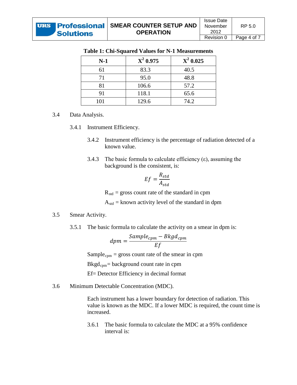| $N-1$ | $X^2$ 0.975 | $X^2$ 0.025 |
|-------|-------------|-------------|
| 61    | 83.3        | 40.5        |
| 71    | 95.0        | 48.8        |
| 81    | 106.6       | 57.2        |
| 91    | 118.1       | 65.6        |
| 101   | 129.6       | 74.2        |

### **Table 1: Chi-Squared Values for N-1 Measurements**

#### 3.4 Data Analysis.

- 3.4.1 Instrument Efficiency.
	- 3.4.2 Instrument efficiency is the percentage of radiation detected of a known value.
	- 3.4.3 The basic formula to calculate efficiency  $(\epsilon)$ , assuming the background is the consistent, is:

$$
Ef = \frac{R_{std}}{A_{std}}
$$

 $R_{std}$  = gross count rate of the standard in cpm

 $A_{std}$  = known activity level of the standard in dpm

#### 3.5 Smear Activity.

3.5.1 The basic formula to calculate the activity on a smear in dpm is:

$$
dpm = \frac{Sample_{cpm} - Bkgd_{cpm}}{Ef}
$$

Sample<sub>cpm</sub> = gross count rate of the smear in cpm

Bkgd cpm = background count rate in cpm

Ef= Detector Efficiency in decimal format

3.6 Minimum Detectable Concentration (MDC).

Each instrument has a lower boundary for detection of radiation. This value is known as the MDC. If a lower MDC is required, the count time is increased.

3.6.1 The basic formula to calculate the MDC at a 95% confidence interval is: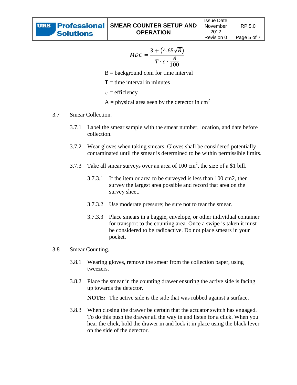$$
MDC = \frac{3 + (4.65\sqrt{B})}{T \cdot \varepsilon \cdot \frac{A}{100}}
$$

- $B =$  background cpm for time interval
- $T =$  time interval in minutes
- $\varepsilon$  = efficiency
- $A =$  physical area seen by the detector in cm<sup>2</sup>

#### 3.7 Smear Collection.

- 3.7.1 Label the smear sample with the smear number, location, and date before collection.
- 3.7.2 Wear gloves when taking smears. Gloves shall be considered potentially contaminated until the smear is determined to be within permissible limits.
- 3.7.3 Take all smear surveys over an area of  $100 \text{ cm}^2$ , the size of a \$1 bill.
	- 3.7.3.1 If the item or area to be surveyed is less than 100 cm2, then survey the largest area possible and record that area on the survey sheet.
	- 3.7.3.2 Use moderate pressure; be sure not to tear the smear.
	- 3.7.3.3 Place smears in a baggie, envelope, or other individual container for transport to the counting area. Once a swipe is taken it must be considered to be radioactive. Do not place smears in your pocket.

#### 3.8 Smear Counting.

- 3.8.1 Wearing gloves, remove the smear from the collection paper, using tweezers.
- 3.8.2 Place the smear in the counting drawer ensuring the active side is facing up towards the detector.

**NOTE:** The active side is the side that was rubbed against a surface.

3.8.3 When closing the drawer be certain that the actuator switch has engaged. To do this push the drawer all the way in and listen for a click. When you hear the click, hold the drawer in and lock it in place using the black lever on the side of the detector.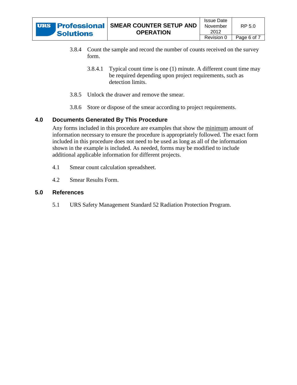

- 3.8.4 Count the sample and record the number of counts received on the survey form.
	- 3.8.4.1 Typical count time is one (1) minute. A different count time may be required depending upon project requirements, such as detection limits.
- 3.8.5 Unlock the drawer and remove the smear.
- 3.8.6 Store or dispose of the smear according to project requirements.

### **4.0 Documents Generated By This Procedure**

Any forms included in this procedure are examples that show the minimum amount of information necessary to ensure the procedure is appropriately followed. The exact form included in this procedure does not need to be used as long as all of the information shown in the example is included. As needed, forms may be modified to include additional applicable information for different projects.

- 4.1 Smear count calculation spreadsheet.
- 4.2 Smear Results Form.

#### **5.0 References**

5.1 URS Safety Management Standard 52 Radiation Protection Program.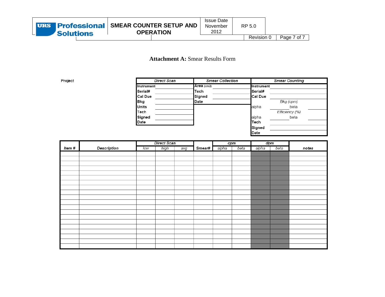### **Attachment A:** Smear Results Form

Project

| <b>Direct Scan</b> | <b>Smear Collection</b> |                | <b>Smear Counting</b> |
|--------------------|-------------------------|----------------|-----------------------|
| Instrument         | Area (cm2)              | Instrument     |                       |
| Serial#            | Tech                    | Serial#        |                       |
| Cal Due            | Signed                  | <b>Cal Due</b> |                       |
| <b>Bkg</b>         | Date                    |                | Bkg (cpm)             |
| Units              |                         | alpha          | beta                  |
| Tech               |                         |                | Efficiency (%)        |
| Signed             |                         | alpha          | beta                  |
| Date               |                         | Tech           |                       |
|                    |                         | Signed         |                       |
|                    |                         | Date           |                       |

|        |                    |     | <b>Direct Scan</b> |     |        |       | cpm  |       | dpm  |       |
|--------|--------------------|-----|--------------------|-----|--------|-------|------|-------|------|-------|
| ltem # | <b>Description</b> | low | high               | avg | Smear# | alpha | beta | alpha | beta | notes |
|        |                    |     |                    |     |        |       |      |       |      |       |
|        |                    |     |                    |     |        |       |      |       |      |       |
|        |                    |     |                    |     |        |       |      |       |      |       |
|        |                    |     |                    |     |        |       |      |       |      |       |
|        |                    |     |                    |     |        |       |      |       |      |       |
|        |                    |     |                    |     |        |       |      |       |      |       |
|        |                    |     |                    |     |        |       |      |       |      |       |
|        |                    |     |                    |     |        |       |      |       |      |       |
|        |                    |     |                    |     |        |       |      |       |      |       |
|        |                    |     |                    |     |        |       |      |       |      |       |
|        |                    |     |                    |     |        |       |      |       |      |       |
|        |                    |     |                    |     |        |       |      |       |      |       |
|        |                    |     |                    |     |        |       |      |       |      |       |
|        |                    |     |                    |     |        |       |      |       |      |       |
|        |                    |     |                    |     |        |       |      |       |      |       |
|        |                    |     |                    |     |        |       |      |       |      |       |
|        |                    |     |                    |     |        |       |      |       |      |       |
|        |                    |     |                    |     |        |       |      |       |      |       |
|        |                    |     |                    |     |        |       |      |       |      |       |
|        |                    |     |                    |     |        |       |      |       |      |       |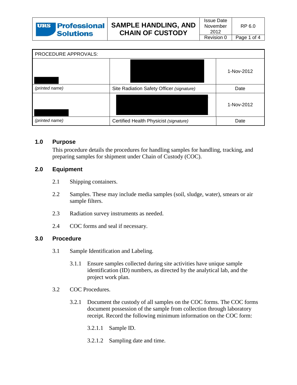| PROCEDURE APPROVALS: |                                           |            |
|----------------------|-------------------------------------------|------------|
|                      |                                           | 1-Nov-2012 |
| (printed name)       | Site Radiation Safety Officer (signature) | Date       |
|                      |                                           | 1-Nov-2012 |
| (printed name)       | Certified Health Physicist (signature)    | Date       |

### **1.0 Purpose**

This procedure details the procedures for handling samples for handling, tracking, and preparing samples for shipment under Chain of Custody (COC).

### **2.0 Equipment**

- 2.1 Shipping containers.
- 2.2 Samples. These may include media samples (soil, sludge, water), smears or air sample filters.
- 2.3 Radiation survey instruments as needed.
- 2.4 COC forms and seal if necessary.

#### **3.0 Procedure**

- 3.1 Sample Identification and Labeling.
	- 3.1.1 Ensure samples collected during site activities have unique sample identification (ID) numbers, as directed by the analytical lab, and the project work plan.
- 3.2 COC Procedures.
	- 3.2.1 Document the custody of all samples on the COC forms. The COC forms document possession of the sample from collection through laboratory receipt. Record the following minimum information on the COC form:
		- 3.2.1.1 Sample ID.
		- 3.2.1.2 Sampling date and time.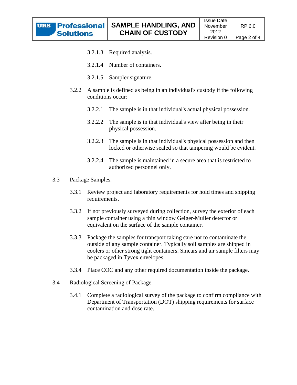- 3.2.1.4 Number of containers.
- 3.2.1.5 Sampler signature.
- 3.2.2 A sample is defined as being in an individual's custody if the following conditions occur:
	- 3.2.2.1 The sample is in that individual's actual physical possession.
	- 3.2.2.2 The sample is in that individual's view after being in their physical possession.
	- 3.2.2.3 The sample is in that individual's physical possession and then locked or otherwise sealed so that tampering would be evident.
	- 3.2.2.4 The sample is maintained in a secure area that is restricted to authorized personnel only.
- 3.3 Package Samples.
	- 3.3.1 Review project and laboratory requirements for hold times and shipping requirements.
	- 3.3.2 If not previously surveyed during collection, survey the exterior of each sample container using a thin window Geiger-Muller detector or equivalent on the surface of the sample container.
	- 3.3.3 Package the samples for transport taking care not to contaminate the outside of any sample container. Typically soil samples are shipped in coolers or other strong tight containers. Smears and air sample filters may be packaged in Tyvex envelopes.
	- 3.3.4 Place COC and any other required documentation inside the package.
- 3.4 Radiological Screening of Package.
	- 3.4.1 Complete a radiological survey of the package to confirm compliance with Department of Transportation (DOT) shipping requirements for surface contamination and dose rate.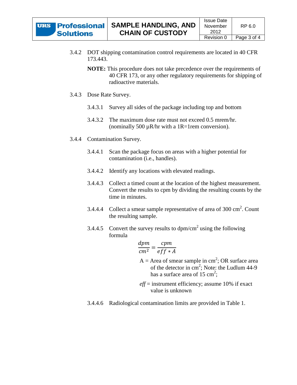- 3.4.2 DOT shipping contamination control requirements are located in 40 CFR 173.443.
	- **NOTE:** This procedure does not take precedence over the requirements of 40 CFR 173, or any other regulatory requirements for shipping of radioactive materials.
- 3.4.3 Dose Rate Survey.
	- 3.4.3.1 Survey all sides of the package including top and bottom
	- 3.4.3.2 The maximum dose rate must not exceed 0.5 mrem/hr. (nominally 500  $\mu$ R/hr with a 1R=1rem conversion).
- 3.4.4 Contamination Survey.
	- 3.4.4.1 Scan the package focus on areas with a higher potential for contamination (i.e., handles).
	- 3.4.4.2 Identify any locations with elevated readings.
	- 3.4.4.3 Collect a timed count at the location of the highest measurement. Convert the results to cpm by dividing the resulting counts by the time in minutes.
	- 3.4.4.4 Collect a smear sample representative of area of 300  $\text{cm}^2$ . Count the resulting sample.
	- 3.4.4.5 Convert the survey results to  $dpm/cm<sup>2</sup>$  using the following formula

$$
\frac{dpm}{cm^2} = \frac{cpm}{eff*A}
$$

- $A =$  Area of smear sample in cm<sup>2</sup>; OR surface area of the detector in  $\text{cm}^2$ ; Note: the Ludlum 44-9 has a surface area of  $15 \text{ cm}^2$ ;
- *eff* = instrument efficiency; assume 10% if exact value is unknown
- 3.4.4.6 Radiological contamination limits are provided in [Table 1.](#page-59-0)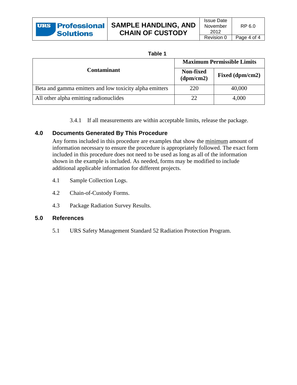| ι.<br>ъ<br>۰.<br>-<br>× |  |
|-------------------------|--|
|-------------------------|--|

<span id="page-59-0"></span>

|                                                         | <b>Maximum Permissible Limits</b> |                 |  |  |  |
|---------------------------------------------------------|-----------------------------------|-----------------|--|--|--|
| <b>Contaminant</b>                                      | <b>Non-fixed</b><br>(dpm/cm2)     | Fixed (dpm/cm2) |  |  |  |
| Beta and gamma emitters and low toxicity alpha emitters | 220                               | 40,000          |  |  |  |
| All other alpha emitting radionuclides                  | 22                                | 4,000           |  |  |  |

3.4.1 If all measurements are within acceptable limits, release the package.

### **4.0 Documents Generated By This Procedure**

Any forms included in this procedure are examples that show the minimum amount of information necessary to ensure the procedure is appropriately followed. The exact form included in this procedure does not need to be used as long as all of the information shown in the example is included. As needed, forms may be modified to include additional applicable information for different projects.

- 4.1 Sample Collection Logs.
- 4.2 Chain-of-Custody Forms.
- 4.3 Package Radiation Survey Results.

#### **5.0 References**

5.1 URS Safety Management Standard 52 Radiation Protection Program.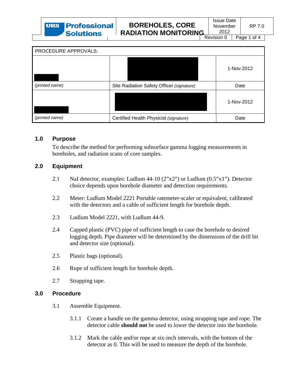Page 1 of 4

RP 7.0

| PROCEDURE APPROVALS: |                                           |            |
|----------------------|-------------------------------------------|------------|
|                      |                                           | 1-Nov-2012 |
| (printed name)       | Site Radiation Safety Officer (signature) | Date       |
|                      |                                           | 1-Nov-2012 |
| (printed name)       | Certified Health Physicist (signature)    | Date       |

#### **1.0 Purpose**

To describe the method for performing subsurface gamma logging measurements in boreholes, and radiation scans of core samples.

### **2.0 Equipment**

- 2.1 NaI detector, examples: Ludlum 44-10 (2"x2") or Ludlum (0.5"x1"). Detector choice depends upon borehole diameter and detection requirements.
- 2.2 Meter: Ludlum Model 2221 Portable ratemeter-scaler or equivalent, calibrated with the detectors and a cable of sufficient length for borehole depth.
- 2.3 Ludlum Model 2221, with Ludlum 44-9.
- 2.4 Capped plastic (PVC) pipe of sufficient length to case the borehole to desired logging depth. Pipe diameter will be determined by the dimensions of the drill bit and detector size (optional).
- 2.5 Plastic bags (optional).
- 2.6 Rope of sufficient length for borehole depth.
- 2.7 Strapping tape.

#### **3.0 Procedure**

- 3.1 Assemble Equipment.
	- 3.1.1 Create a handle on the gamma detector, using strapping tape and rope. The detector cable **should not** be used to lower the detector into the borehole.
	- 3.1.2 Mark the cable and/or rope at six-inch intervals, with the bottom of the detector as 0. This will be used to measure the depth of the borehole.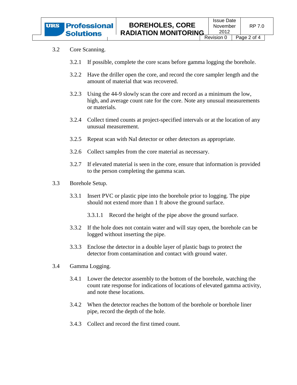#### 3.2 Core Scanning.

- 3.2.1 If possible, complete the core scans before gamma logging the borehole.
- 3.2.2 Have the driller open the core, and record the core sampler length and the amount of material that was recovered.
- 3.2.3 Using the 44-9 slowly scan the core and record as a minimum the low, high, and average count rate for the core. Note any unusual measurements or materials.
- 3.2.4 Collect timed counts at project-specified intervals or at the location of any unusual measurement.
- 3.2.5 Repeat scan with NaI detector or other detectors as appropriate.
- 3.2.6 Collect samples from the core material as necessary.
- 3.2.7 If elevated material is seen in the core, ensure that information is provided to the person completing the gamma scan.
- 3.3 Borehole Setup.
	- 3.3.1 Insert PVC or plastic pipe into the borehole prior to logging. The pipe should not extend more than 1 ft above the ground surface.
		- 3.3.1.1 Record the height of the pipe above the ground surface.
	- 3.3.2 If the hole does not contain water and will stay open, the borehole can be logged without inserting the pipe.
	- 3.3.3 Enclose the detector in a double layer of plastic bags to protect the detector from contamination and contact with ground water.
- 3.4 Gamma Logging.
	- 3.4.1 Lower the detector assembly to the bottom of the borehole, watching the count rate response for indications of locations of elevated gamma activity, and note these locations.
	- 3.4.2 When the detector reaches the bottom of the borehole or borehole liner pipe, record the depth of the hole.
	- 3.4.3 Collect and record the first timed count.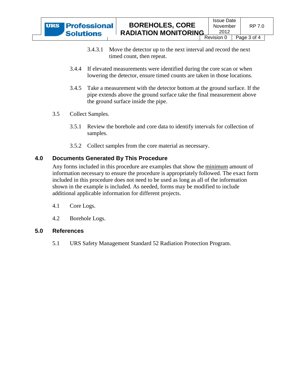- 3.4.3.1 Move the detector up to the next interval and record the next timed count, then repeat.
- 3.4.4 If elevated measurements were identified during the core scan or when lowering the detector, ensure timed counts are taken in those locations.
- 3.4.5 Take a measurement with the detector bottom at the ground surface. If the pipe extends above the ground surface take the final measurement above the ground surface inside the pipe.
- 3.5 Collect Samples.
	- 3.5.1 Review the borehole and core data to identify intervals for collection of samples.
	- 3.5.2 Collect samples from the core material as necessary.

### **4.0 Documents Generated By This Procedure**

Any forms included in this procedure are examples that show the minimum amount of information necessary to ensure the procedure is appropriately followed. The exact form included in this procedure does not need to be used as long as all of the information shown in the example is included. As needed, forms may be modified to include additional applicable information for different projects.

- 4.1 Core Logs.
- 4.2 Borehole Logs.

### **5.0 References**

5.1 URS Safety Management Standard 52 Radiation Protection Program.